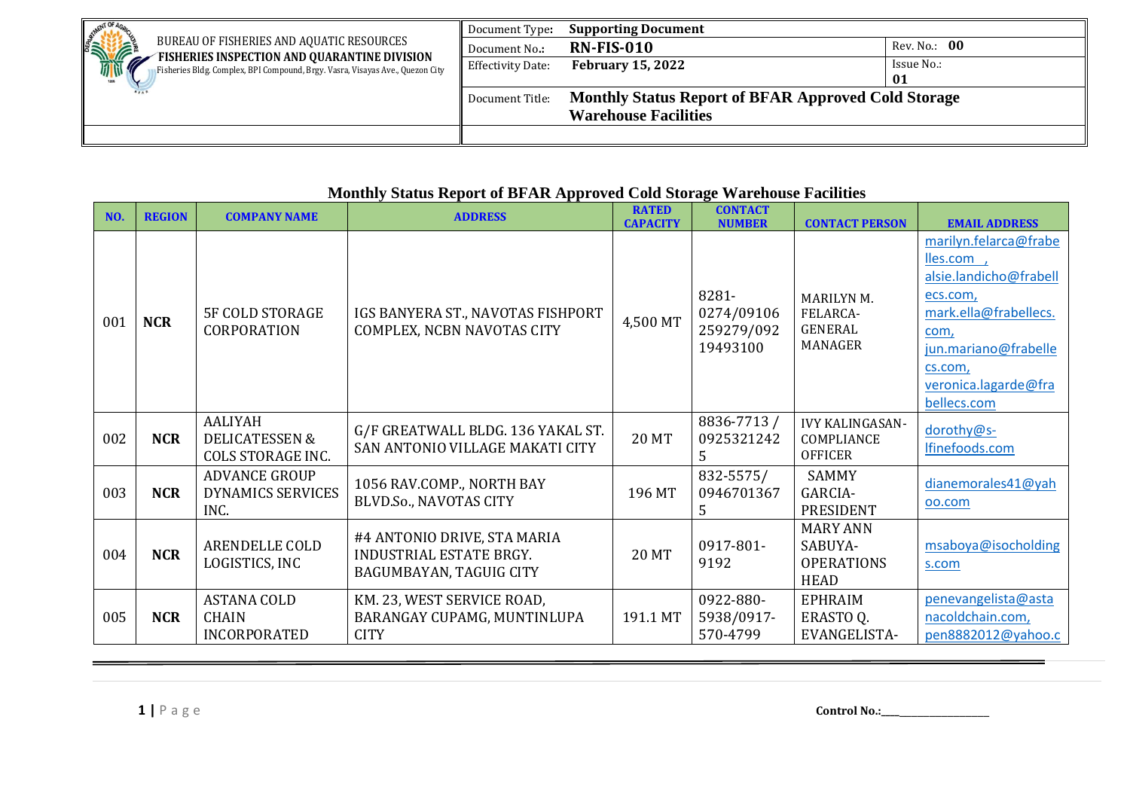|                                                                                                                               | Document Type:           | <b>Supporting Document</b>                                 |              |
|-------------------------------------------------------------------------------------------------------------------------------|--------------------------|------------------------------------------------------------|--------------|
| STATES<br>BUREAU OF FISHERIES AND AQUATIC RESOURCES                                                                           | Document No.:            | <b>RN-FIS-010</b>                                          | Rev. No.: 00 |
| FISHERIES INSPECTION AND QUARANTINE DIVISION<br>Fisheries Bldg. Complex, BPI Compound, Brgy. Vasra, Visayas Ave., Quezon City | <b>Effectivity Date:</b> | <b>February 15, 2022</b>                                   | Issue No.:   |
|                                                                                                                               |                          |                                                            | 01           |
|                                                                                                                               | Document Title:          | <b>Monthly Status Report of BFAR Approved Cold Storage</b> |              |
|                                                                                                                               |                          | <b>Warehouse Facilities</b>                                |              |
|                                                                                                                               |                          |                                                            |              |

## **Monthly Status Report of BFAR Approved Cold Storage Warehouse Facilities**

| NO. | <b>REGION</b> | <b>COMPANY NAME</b>                                                     | <b>ADDRESS</b>                                                                    | <b>RATED</b><br><b>CAPACITY</b> | <b>CONTACT</b><br><b>NUMBER</b>               | <b>CONTACT PERSON</b>                                      | <b>EMAIL ADDRESS</b>                                                                                                                                                                |
|-----|---------------|-------------------------------------------------------------------------|-----------------------------------------------------------------------------------|---------------------------------|-----------------------------------------------|------------------------------------------------------------|-------------------------------------------------------------------------------------------------------------------------------------------------------------------------------------|
| 001 | <b>NCR</b>    | <b>5F COLD STORAGE</b><br><b>CORPORATION</b>                            | IGS BANYERA ST., NAVOTAS FISHPORT<br>COMPLEX, NCBN NAVOTAS CITY                   | 4,500 MT                        | 8281-<br>0274/09106<br>259279/092<br>19493100 | MARILYN M.<br>FELARCA-<br><b>GENERAL</b><br><b>MANAGER</b> | marilyn.felarca@frabe<br>lles.com,<br>alsie.landicho@frabell<br>ecs.com,<br>mark.ella@frabellecs.<br>com,<br>jun.mariano@frabelle<br>cs.com,<br>veronica.lagarde@fra<br>bellecs.com |
| 002 | <b>NCR</b>    | <b>AALIYAH</b><br><b>DELICATESSEN &amp;</b><br><b>COLS STORAGE INC.</b> | G/F GREATWALL BLDG. 136 YAKAL ST.<br>SAN ANTONIO VILLAGE MAKATI CITY              | <b>20 MT</b>                    | 8836-7713 /<br>0925321242<br>5                | <b>IVY KALINGASAN-</b><br>COMPLIANCE<br><b>OFFICER</b>     | dorothy@s-<br>Ifinefoods.com                                                                                                                                                        |
| 003 | <b>NCR</b>    | <b>ADVANCE GROUP</b><br><b>DYNAMICS SERVICES</b><br>INC.                | 1056 RAV.COMP., NORTH BAY<br><b>BLVD.So., NAVOTAS CITY</b>                        | 196 MT                          | 832-5575/<br>0946701367<br>5                  | <b>SAMMY</b><br>GARCIA-<br>PRESIDENT                       | dianemorales41@yah<br>00.com                                                                                                                                                        |
| 004 | <b>NCR</b>    | ARENDELLE COLD<br>LOGISTICS, INC                                        | #4 ANTONIO DRIVE, STA MARIA<br>INDUSTRIAL ESTATE BRGY.<br>BAGUMBAYAN, TAGUIG CITY | <b>20 MT</b>                    | 0917-801-<br>9192                             | <b>MARY ANN</b><br>SABUYA-<br><b>OPERATIONS</b><br>HEAD    | msaboya@isocholding<br>s.com                                                                                                                                                        |
| 005 | <b>NCR</b>    | <b>ASTANA COLD</b><br><b>CHAIN</b><br><b>INCORPORATED</b>               | KM. 23, WEST SERVICE ROAD,<br>BARANGAY CUPAMG, MUNTINLUPA<br><b>CITY</b>          | 191.1 MT                        | 0922-880-<br>5938/0917-<br>570-4799           | <b>EPHRAIM</b><br>ERASTO Q.<br>EVANGELISTA-                | penevangelista@asta<br>nacoldchain.com,<br>pen8882012@yahoo.c                                                                                                                       |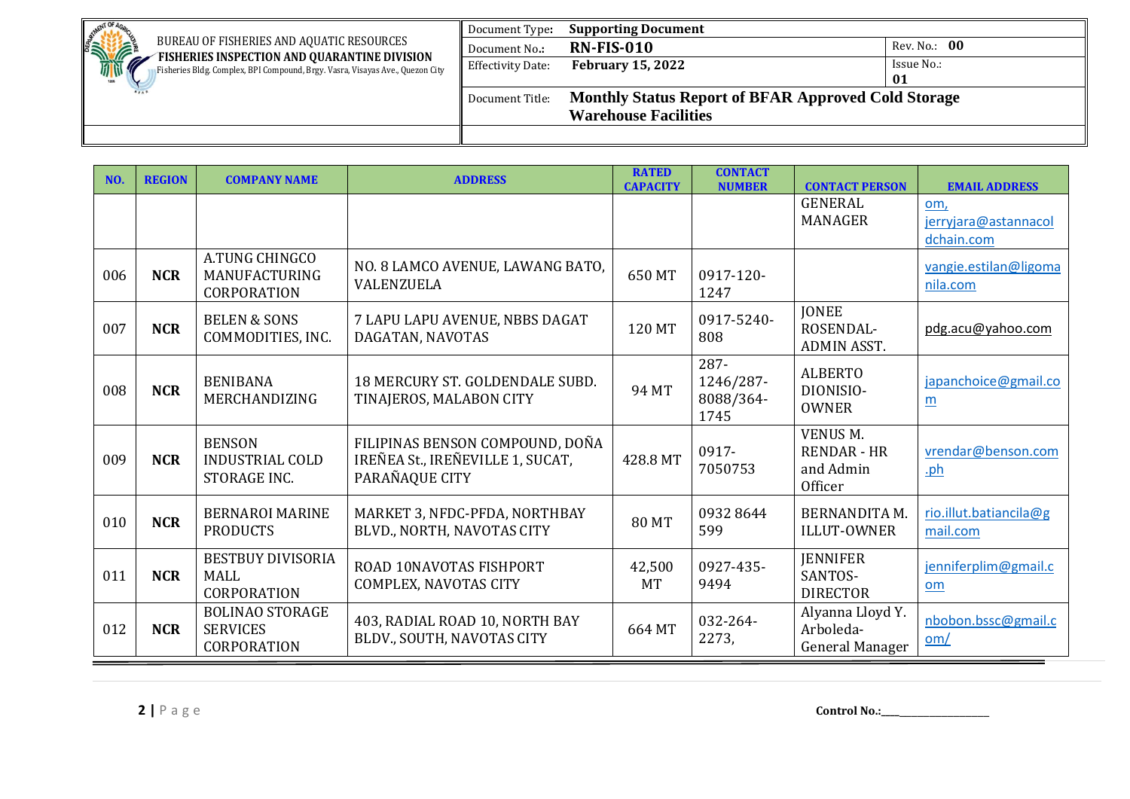| <b>AFNT OF</b>                                                                                                                      | Document Type:    | <b>Supporting Document</b>                                 |              |
|-------------------------------------------------------------------------------------------------------------------------------------|-------------------|------------------------------------------------------------|--------------|
| <b>SHOPPORTS</b><br>BUREAU OF FISHERIES AND AQUATIC RESOURCES                                                                       | Document No.:     | <b>RN-FIS-010</b>                                          | Rev. No.: 00 |
| FISHERIES INSPECTION AND QUARANTINE DIVISION<br>Ø.<br>Fisheries Bldg. Complex, BPI Compound, Brgy. Vasra, Visayas Ave., Quezon City | Effectivity Date: | <b>February 15, 2022</b>                                   | Issue No.:   |
| tass                                                                                                                                |                   |                                                            | 01           |
|                                                                                                                                     | Document Title:   | <b>Monthly Status Report of BFAR Approved Cold Storage</b> |              |
|                                                                                                                                     |                   | <b>Warehouse Facilities</b>                                |              |
|                                                                                                                                     |                   |                                                            |              |

| NO. | <b>REGION</b> | <b>COMPANY NAME</b>                                             | <b>ADDRESS</b>                                                                        | <b>RATED</b><br><b>CAPACITY</b> | <b>CONTACT</b><br><b>NUMBER</b>        | <b>CONTACT PERSON</b>                                   | <b>EMAIL ADDRESS</b>                      |
|-----|---------------|-----------------------------------------------------------------|---------------------------------------------------------------------------------------|---------------------------------|----------------------------------------|---------------------------------------------------------|-------------------------------------------|
|     |               |                                                                 |                                                                                       |                                 |                                        | <b>GENERAL</b><br>MANAGER                               | om,<br>jerryjara@astannacol<br>dchain.com |
| 006 | <b>NCR</b>    | A.TUNG CHINGCO<br>MANUFACTURING<br><b>CORPORATION</b>           | NO. 8 LAMCO AVENUE, LAWANG BATO,<br><b>VALENZUELA</b>                                 | 650 MT                          | 0917-120-<br>1247                      |                                                         | vangie.estilan@ligoma<br>nila.com         |
| 007 | <b>NCR</b>    | <b>BELEN &amp; SONS</b><br>COMMODITIES, INC.                    | 7 LAPU LAPU AVENUE, NBBS DAGAT<br>DAGATAN, NAVOTAS                                    | 120 MT                          | 0917-5240-<br>808                      | <b>JONEE</b><br>ROSENDAL-<br><b>ADMIN ASST.</b>         | pdg.acu@yahoo.com                         |
| 008 | <b>NCR</b>    | <b>BENIBANA</b><br>MERCHANDIZING                                | 18 MERCURY ST. GOLDENDALE SUBD.<br>TINAJEROS, MALABON CITY                            | 94 MT                           | 287-<br>1246/287-<br>8088/364-<br>1745 | <b>ALBERTO</b><br>DIONISIO-<br><b>OWNER</b>             | japanchoice@gmail.co<br>$\underline{m}$   |
| 009 | <b>NCR</b>    | <b>BENSON</b><br><b>INDUSTRIAL COLD</b><br>STORAGE INC.         | FILIPINAS BENSON COMPOUND, DOÑA<br>IREÑEA St., IREÑEVILLE 1, SUCAT,<br>PARAÑAQUE CITY | 428.8 MT                        | 0917-<br>7050753                       | VENUS M.<br><b>RENDAR - HR</b><br>and Admin<br>Officer  | vrendar@benson.com<br><u>.ph</u>          |
| 010 | <b>NCR</b>    | <b>BERNAROI MARINE</b><br><b>PRODUCTS</b>                       | MARKET 3, NFDC-PFDA, NORTHBAY<br>BLVD., NORTH, NAVOTAS CITY                           | <b>80 MT</b>                    | 09328644<br>599                        | <b>BERNANDITA M.</b><br><b>ILLUT-OWNER</b>              | rio.illut.batiancila@g<br>mail.com        |
| 011 | <b>NCR</b>    | <b>BESTBUY DIVISORIA</b><br><b>MALL</b><br><b>CORPORATION</b>   | <b>ROAD 10NAVOTAS FISHPORT</b><br>COMPLEX, NAVOTAS CITY                               | 42,500<br><b>MT</b>             | 0927-435-<br>9494                      | <b>JENNIFER</b><br>SANTOS-<br><b>DIRECTOR</b>           | jenniferplim@gmail.c<br>om                |
| 012 | <b>NCR</b>    | <b>BOLINAO STORAGE</b><br><b>SERVICES</b><br><b>CORPORATION</b> | 403, RADIAL ROAD 10, NORTH BAY<br>BLDV., SOUTH, NAVOTAS CITY                          | 664 MT                          | 032-264-<br>2273,                      | Alyanna Lloyd Y.<br>Arboleda-<br><b>General Manager</b> | nbobon.bssc@gmail.c<br>om/                |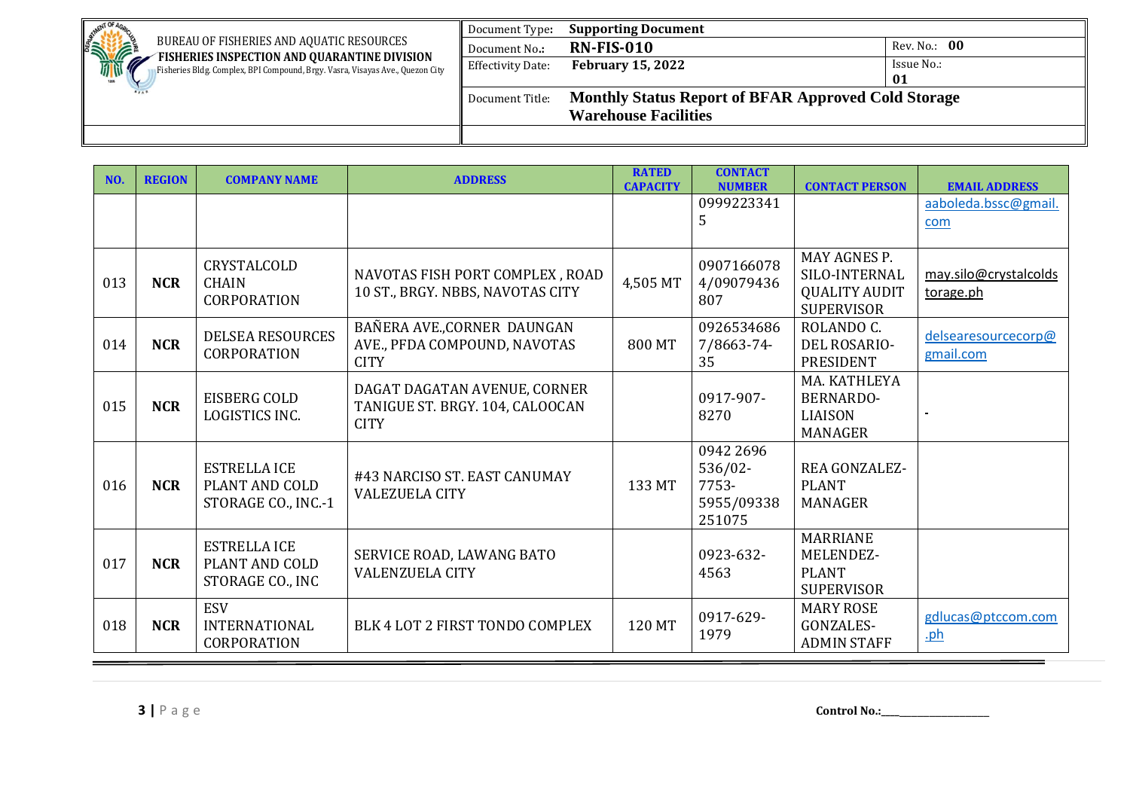| <b>AFNT OF</b>                                                                                                                      | Document Type:           | <b>Supporting Document</b>                                 |              |
|-------------------------------------------------------------------------------------------------------------------------------------|--------------------------|------------------------------------------------------------|--------------|
| <b>SHIPPING</b><br>BUREAU OF FISHERIES AND AQUATIC RESOURCES                                                                        | Document No.:            | <b>RN-FIS-010</b>                                          | Rev. No.: 00 |
| FISHERIES INSPECTION AND QUARANTINE DIVISION<br>Ø.<br>Fisheries Bldg. Complex, BPI Compound, Brgy. Vasra, Visayas Ave., Quezon City | <b>Effectivity Date:</b> | <b>February 15, 2022</b>                                   | Issue No.:   |
|                                                                                                                                     |                          |                                                            | 01           |
|                                                                                                                                     | Document Title:          | <b>Monthly Status Report of BFAR Approved Cold Storage</b> |              |
|                                                                                                                                     |                          | <b>Warehouse Facilities</b>                                |              |
|                                                                                                                                     |                          |                                                            |              |

| NO. | <b>REGION</b> | <b>COMPANY NAME</b>                                          | <b>ADDRESS</b>                                                                 | <b>RATED</b><br><b>CAPACITY</b> | <b>CONTACT</b><br><b>NUMBER</b>                       | <b>CONTACT PERSON</b>                                                      | <b>EMAIL ADDRESS</b>               |
|-----|---------------|--------------------------------------------------------------|--------------------------------------------------------------------------------|---------------------------------|-------------------------------------------------------|----------------------------------------------------------------------------|------------------------------------|
|     |               |                                                              |                                                                                |                                 | 0999223341<br>5                                       |                                                                            | aaboleda.bssc@gmail.<br>com        |
| 013 | <b>NCR</b>    | CRYSTALCOLD<br><b>CHAIN</b><br><b>CORPORATION</b>            | NAVOTAS FISH PORT COMPLEX, ROAD<br>10 ST., BRGY. NBBS, NAVOTAS CITY            | 4,505 MT                        | 0907166078<br>4/09079436<br>807                       | MAY AGNES P.<br>SILO-INTERNAL<br><b>QUALITY AUDIT</b><br><b>SUPERVISOR</b> | may.silo@crystalcolds<br>torage.ph |
| 014 | <b>NCR</b>    | <b>DELSEA RESOURCES</b><br><b>CORPORATION</b>                | BAÑERA AVE., CORNER DAUNGAN<br>AVE., PFDA COMPOUND, NAVOTAS<br><b>CITY</b>     | 800 MT                          | 0926534686<br>7/8663-74-<br>35                        | ROLANDO C.<br>DEL ROSARIO-<br><b>PRESIDENT</b>                             | delsearesourcecorp@<br>gmail.com   |
| 015 | <b>NCR</b>    | EISBERG COLD<br>LOGISTICS INC.                               | DAGAT DAGATAN AVENUE, CORNER<br>TANIGUE ST. BRGY. 104, CALOOCAN<br><b>CITY</b> |                                 | 0917-907-<br>8270                                     | MA, KATHLEYA<br><b>BERNARDO-</b><br><b>LIAISON</b><br>MANAGER              |                                    |
| 016 | <b>NCR</b>    | <b>ESTRELLA ICE</b><br>PLANT AND COLD<br>STORAGE CO., INC.-1 | #43 NARCISO ST. EAST CANUMAY<br><b>VALEZUELA CITY</b>                          | 133 MT                          | 0942 2696<br>536/02-<br>7753-<br>5955/09338<br>251075 | <b>REA GONZALEZ-</b><br><b>PLANT</b><br><b>MANAGER</b>                     |                                    |
| 017 | <b>NCR</b>    | <b>ESTRELLA ICE</b><br>PLANT AND COLD<br>STORAGE CO., INC    | SERVICE ROAD, LAWANG BATO<br><b>VALENZUELA CITY</b>                            |                                 | 0923-632-<br>4563                                     | <b>MARRIANE</b><br>MELENDEZ-<br><b>PLANT</b><br><b>SUPERVISOR</b>          |                                    |
| 018 | <b>NCR</b>    | <b>ESV</b><br><b>INTERNATIONAL</b><br><b>CORPORATION</b>     | BLK 4 LOT 2 FIRST TONDO COMPLEX                                                | 120 MT                          | 0917-629-<br>1979                                     | <b>MARY ROSE</b><br>GONZALES-<br><b>ADMIN STAFF</b>                        | gdlucas@ptccom.com<br><u>.ph</u>   |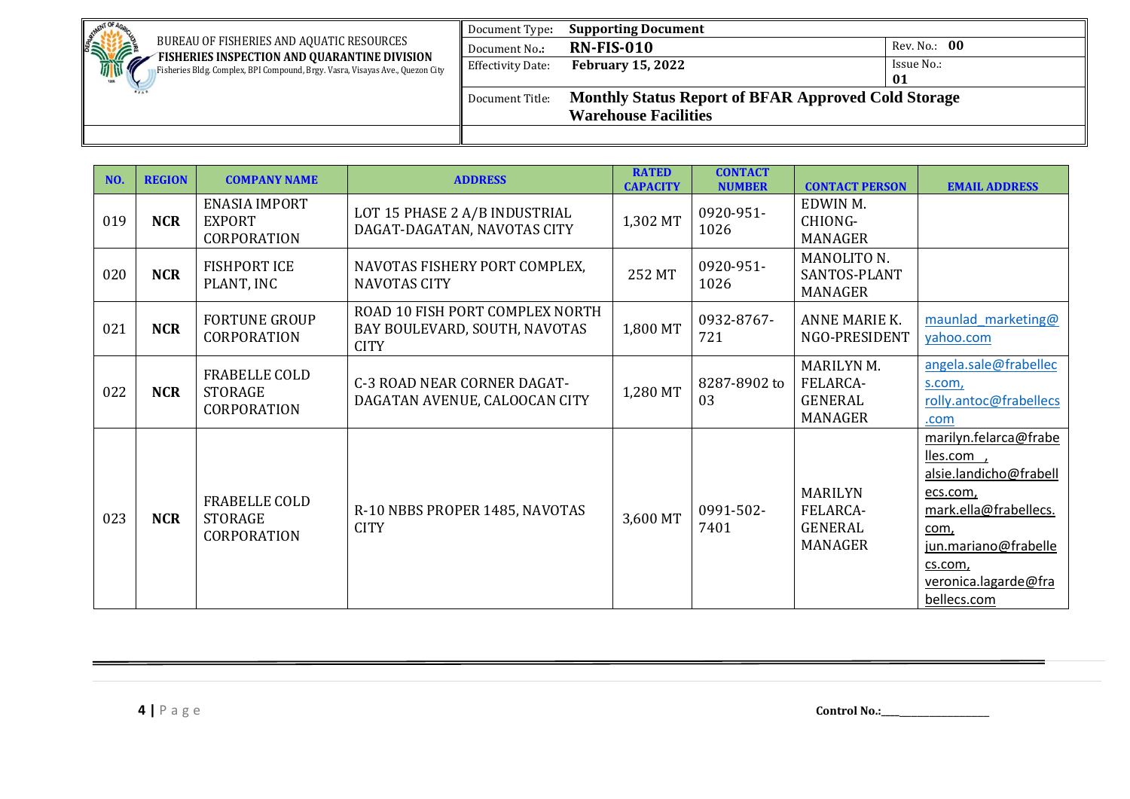| <b>NENT OF</b>                                                                                                                | Document Type:           | <b>Supporting Document</b>                                 |              |
|-------------------------------------------------------------------------------------------------------------------------------|--------------------------|------------------------------------------------------------|--------------|
| <b>SHOPPORTS</b><br>BUREAU OF FISHERIES AND AQUATIC RESOURCES                                                                 | Document No.:            | <b>RN-FIS-010</b>                                          | Rev. No.: 00 |
| FISHERIES INSPECTION AND QUARANTINE DIVISION<br>Fisheries Bldg. Complex, BPI Compound, Brgy. Vasra, Visayas Ave., Quezon City | <b>Effectivity Date:</b> | <b>February 15, 2022</b>                                   | Issue No.:   |
|                                                                                                                               |                          |                                                            | 01           |
|                                                                                                                               | Document Title:          | <b>Monthly Status Report of BFAR Approved Cold Storage</b> |              |
|                                                                                                                               |                          | <b>Warehouse Facilities</b>                                |              |
|                                                                                                                               |                          |                                                            |              |

| NO. | <b>REGION</b> | <b>COMPANY NAME</b>                                          | <b>ADDRESS</b>                                                                  | <b>RATED</b><br><b>CAPACITY</b> | <b>CONTACT</b><br><b>NUMBER</b> | <b>CONTACT PERSON</b>                                      | <b>EMAIL ADDRESS</b>                                                                                                                                                                |
|-----|---------------|--------------------------------------------------------------|---------------------------------------------------------------------------------|---------------------------------|---------------------------------|------------------------------------------------------------|-------------------------------------------------------------------------------------------------------------------------------------------------------------------------------------|
| 019 | <b>NCR</b>    | <b>ENASIA IMPORT</b><br><b>EXPORT</b><br><b>CORPORATION</b>  | LOT 15 PHASE 2 A/B INDUSTRIAL<br>DAGAT-DAGATAN, NAVOTAS CITY                    | 1,302 MT                        | 0920-951-<br>1026               | EDWIN M.<br>CHIONG-<br><b>MANAGER</b>                      |                                                                                                                                                                                     |
| 020 | <b>NCR</b>    | <b>FISHPORT ICE</b><br>PLANT, INC                            | NAVOTAS FISHERY PORT COMPLEX,<br><b>NAVOTAS CITY</b>                            | 252 MT                          | 0920-951-<br>1026               | MANOLITO N.<br>SANTOS-PLANT<br>MANAGER                     |                                                                                                                                                                                     |
| 021 | <b>NCR</b>    | <b>FORTUNE GROUP</b><br><b>CORPORATION</b>                   | ROAD 10 FISH PORT COMPLEX NORTH<br>BAY BOULEVARD, SOUTH, NAVOTAS<br><b>CITY</b> | 1,800 MT                        | 0932-8767-<br>721               | ANNE MARIE K.<br>NGO-PRESIDENT                             | maunlad marketing@<br>yahoo.com                                                                                                                                                     |
| 022 | <b>NCR</b>    | FRABELLE COLD<br><b>STORAGE</b><br><b>CORPORATION</b>        | <b>C-3 ROAD NEAR CORNER DAGAT-</b><br>DAGATAN AVENUE, CALOOCAN CITY             | 1,280 MT                        | 8287-8902 to<br>03              | MARILYN M.<br>FELARCA-<br><b>GENERAL</b><br><b>MANAGER</b> | angela.sale@frabellec<br>s.com,<br>rolly.antoc@frabellecs<br>.com                                                                                                                   |
| 023 | <b>NCR</b>    | <b>FRABELLE COLD</b><br><b>STORAGE</b><br><b>CORPORATION</b> | R-10 NBBS PROPER 1485, NAVOTAS<br><b>CITY</b>                                   | 3,600 MT                        | 0991-502-<br>7401               | <b>MARILYN</b><br>FELARCA-<br>GENERAL<br><b>MANAGER</b>    | marilyn.felarca@frabe<br>lles.com,<br>alsie.landicho@frabell<br>ecs.com,<br>mark.ella@frabellecs.<br>com,<br>jun.mariano@frabelle<br>cs.com,<br>veronica.lagarde@fra<br>bellecs.com |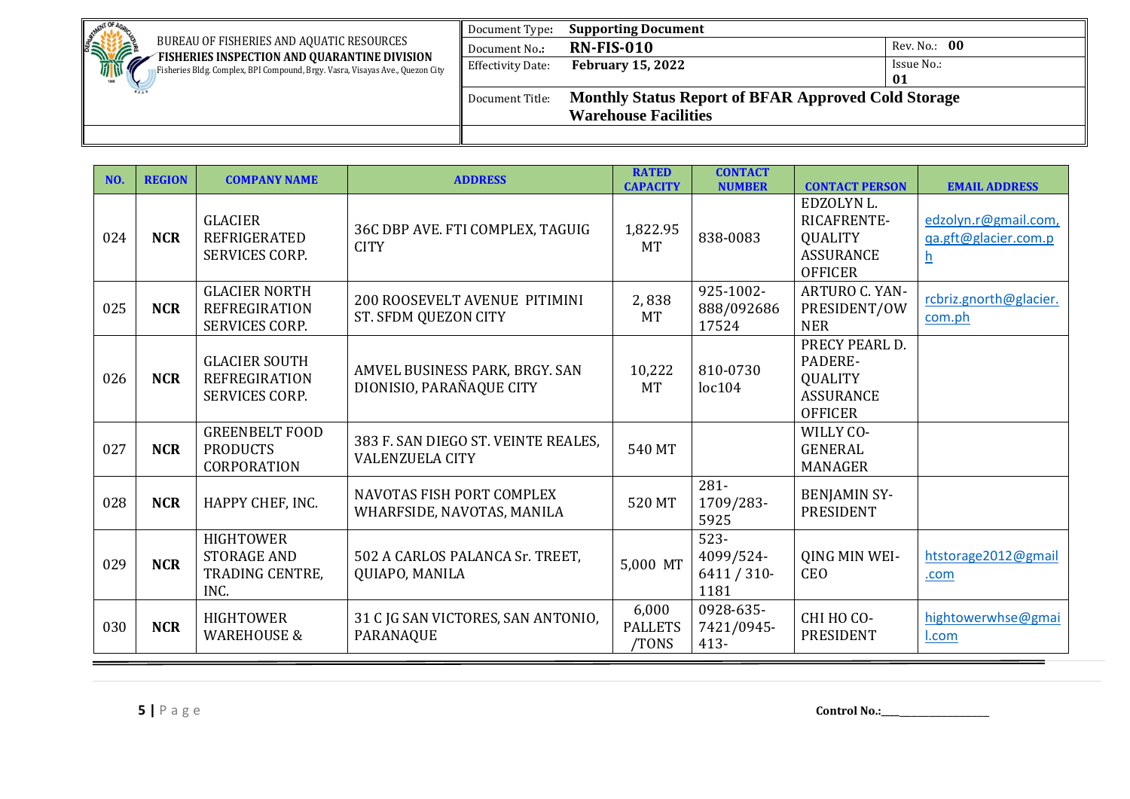| <b>AFNT OF</b>                                                                                                                      | Document Type:           | <b>Supporting Document</b>                                 |              |
|-------------------------------------------------------------------------------------------------------------------------------------|--------------------------|------------------------------------------------------------|--------------|
| <b>SHIPPING</b><br>BUREAU OF FISHERIES AND AQUATIC RESOURCES                                                                        | Document No.:            | <b>RN-FIS-010</b>                                          | Rev. No.: 00 |
| FISHERIES INSPECTION AND QUARANTINE DIVISION<br>Ø.<br>Fisheries Bldg. Complex, BPI Compound, Brgy. Vasra, Visayas Ave., Quezon City | <b>Effectivity Date:</b> | <b>February 15, 2022</b>                                   | Issue No.:   |
|                                                                                                                                     |                          |                                                            | 01           |
|                                                                                                                                     | Document Title:          | <b>Monthly Status Report of BFAR Approved Cold Storage</b> |              |
|                                                                                                                                     |                          | <b>Warehouse Facilities</b>                                |              |
|                                                                                                                                     |                          |                                                            |              |

| NO. | <b>REGION</b> | <b>COMPANY NAME</b>                                                   | <b>ADDRESS</b>                                                | <b>RATED</b><br><b>CAPACITY</b>  | <b>CONTACT</b><br><b>NUMBER</b>              | <b>CONTACT PERSON</b>                                                             | <b>EMAIL ADDRESS</b>                                                     |
|-----|---------------|-----------------------------------------------------------------------|---------------------------------------------------------------|----------------------------------|----------------------------------------------|-----------------------------------------------------------------------------------|--------------------------------------------------------------------------|
| 024 | <b>NCR</b>    | <b>GLACIER</b><br><b>REFRIGERATED</b><br>SERVICES CORP.               | 36C DBP AVE. FTI COMPLEX, TAGUIG<br><b>CITY</b>               | 1,822.95<br><b>MT</b>            | 838-0083                                     | EDZOLYN L.<br>RICAFRENTE-<br><b>QUALITY</b><br><b>ASSURANCE</b><br><b>OFFICER</b> | edzolyn.r@gmail.com,<br>qa.gft@glacier.com.p<br>$\underline{\mathsf{h}}$ |
| 025 | <b>NCR</b>    | <b>GLACIER NORTH</b><br><b>REFREGIRATION</b><br>SERVICES CORP.        | <b>200 ROOSEVELT AVENUE PITIMINI</b><br>ST. SFDM QUEZON CITY  | 2,838<br><b>MT</b>               | 925-1002-<br>888/092686<br>17524             | ARTURO C. YAN-<br>PRESIDENT/OW<br><b>NER</b>                                      | rcbriz.gnorth@glacier.<br>com.ph                                         |
| 026 | <b>NCR</b>    | <b>GLACIER SOUTH</b><br><b>REFREGIRATION</b><br><b>SERVICES CORP.</b> | AMVEL BUSINESS PARK, BRGY. SAN<br>DIONISIO, PARAÑAQUE CITY    | 10,222<br><b>MT</b>              | 810-0730<br>loc104                           | PRECY PEARL D.<br>PADERE-<br><b>QUALITY</b><br><b>ASSURANCE</b><br><b>OFFICER</b> |                                                                          |
| 027 | <b>NCR</b>    | <b>GREENBELT FOOD</b><br><b>PRODUCTS</b><br>CORPORATION               | 383 F. SAN DIEGO ST. VEINTE REALES,<br><b>VALENZUELA CITY</b> | 540 MT                           |                                              | WILLY CO-<br><b>GENERAL</b><br><b>MANAGER</b>                                     |                                                                          |
| 028 | <b>NCR</b>    | HAPPY CHEF, INC.                                                      | NAVOTAS FISH PORT COMPLEX<br>WHARFSIDE, NAVOTAS, MANILA       | 520 MT                           | 281-<br>1709/283-<br>5925                    | <b>BENJAMIN SY-</b><br><b>PRESIDENT</b>                                           |                                                                          |
| 029 | <b>NCR</b>    | <b>HIGHTOWER</b><br><b>STORAGE AND</b><br>TRADING CENTRE,<br>INC.     | 502 A CARLOS PALANCA Sr. TREET,<br>QUIAPO, MANILA             | 5,000 MT                         | $523 -$<br>4099/524-<br>$6411/310$ -<br>1181 | QING MIN WEI-<br><b>CEO</b>                                                       | htstorage2012@gmail<br>.com                                              |
| 030 | <b>NCR</b>    | <b>HIGHTOWER</b><br><b>WAREHOUSE &amp;</b>                            | 31 C JG SAN VICTORES, SAN ANTONIO,<br><b>PARANAQUE</b>        | 6,000<br><b>PALLETS</b><br>TONS/ | 0928-635-<br>7421/0945-<br>$413 -$           | СНІ НО СО-<br><b>PRESIDENT</b>                                                    | hightowerwhse@gmai<br>I.com                                              |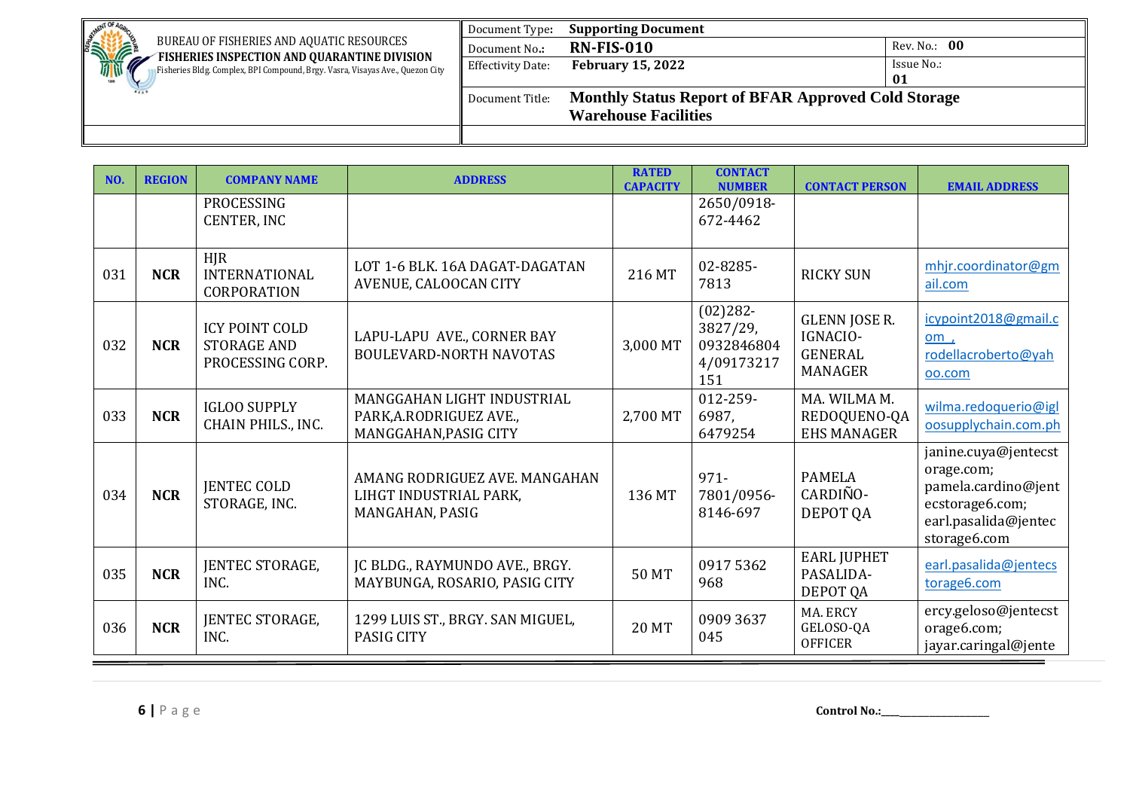| <b>AFNT OF</b>                                                                                                                      | Document Type:           | <b>Supporting Document</b>                                 |              |
|-------------------------------------------------------------------------------------------------------------------------------------|--------------------------|------------------------------------------------------------|--------------|
| <b>SHIPPING</b><br>BUREAU OF FISHERIES AND AQUATIC RESOURCES                                                                        | Document No.:            | <b>RN-FIS-010</b>                                          | Rev. No.: 00 |
| FISHERIES INSPECTION AND QUARANTINE DIVISION<br>Ø.<br>Fisheries Bldg. Complex, BPI Compound, Brgy. Vasra, Visayas Ave., Quezon City | <b>Effectivity Date:</b> | <b>February 15, 2022</b>                                   | Issue No.:   |
|                                                                                                                                     |                          |                                                            | 01           |
|                                                                                                                                     | Document Title:          | <b>Monthly Status Report of BFAR Approved Cold Storage</b> |              |
|                                                                                                                                     |                          | <b>Warehouse Facilities</b>                                |              |
|                                                                                                                                     |                          |                                                            |              |

| NO. | <b>REGION</b> | <b>COMPANY NAME</b>                                             | <b>ADDRESS</b>                                                                 | <b>RATED</b><br><b>CAPACITY</b> | <b>CONTACT</b><br><b>NUMBER</b>                            | <b>CONTACT PERSON</b>                                                | <b>EMAIL ADDRESS</b>                                                                                                 |
|-----|---------------|-----------------------------------------------------------------|--------------------------------------------------------------------------------|---------------------------------|------------------------------------------------------------|----------------------------------------------------------------------|----------------------------------------------------------------------------------------------------------------------|
|     |               | PROCESSING<br><b>CENTER, INC</b>                                |                                                                                |                                 | 2650/0918-<br>672-4462                                     |                                                                      |                                                                                                                      |
| 031 | <b>NCR</b>    | <b>HJR</b><br><b>INTERNATIONAL</b><br><b>CORPORATION</b>        | LOT 1-6 BLK. 16A DAGAT-DAGATAN<br>AVENUE, CALOOCAN CITY                        | 216 MT                          | 02-8285-<br>7813                                           | <b>RICKY SUN</b>                                                     | mhjr.coordinator@gm<br>ail.com                                                                                       |
| 032 | <b>NCR</b>    | <b>ICY POINT COLD</b><br><b>STORAGE AND</b><br>PROCESSING CORP. | LAPU-LAPU AVE., CORNER BAY<br><b>BOULEVARD-NORTH NAVOTAS</b>                   | 3,000 MT                        | $(02)282 -$<br>3827/29,<br>0932846804<br>4/09173217<br>151 | <b>GLENN JOSE R.</b><br>IGNACIO-<br><b>GENERAL</b><br><b>MANAGER</b> | icypoint2018@gmail.c<br>om,<br>rodellacroberto@yah<br>oo.com                                                         |
| 033 | <b>NCR</b>    | <b>IGLOO SUPPLY</b><br>CHAIN PHILS., INC.                       | MANGGAHAN LIGHT INDUSTRIAL<br>PARK, A.RODRIGUEZ AVE.,<br>MANGGAHAN, PASIG CITY | 2,700 MT                        | 012-259-<br>6987,<br>6479254                               | MA. WILMA M.<br>REDOQUENO-QA<br><b>EHS MANAGER</b>                   | wilma.redoquerio@igl<br>oosupplychain.com.ph                                                                         |
| 034 | <b>NCR</b>    | <b>JENTEC COLD</b><br>STORAGE, INC.                             | AMANG RODRIGUEZ AVE. MANGAHAN<br>LIHGT INDUSTRIAL PARK,<br>MANGAHAN, PASIG     | 136 MT                          | $971 -$<br>7801/0956-<br>8146-697                          | <b>PAMELA</b><br>CARDIÑO-<br>DEPOT QA                                | janine.cuya@jentecst<br>orage.com;<br>pamela.cardino@jent<br>ecstorage6.com;<br>earl.pasalida@jentec<br>storage6.com |
| 035 | <b>NCR</b>    | JENTEC STORAGE,<br>INC.                                         | JC BLDG., RAYMUNDO AVE., BRGY.<br>MAYBUNGA, ROSARIO, PASIG CITY                | 50 MT                           | 09175362<br>968                                            | <b>EARL JUPHET</b><br>PASALIDA-<br>DEPOT QA                          | earl.pasalida@jentecs<br>torage6.com                                                                                 |
| 036 | <b>NCR</b>    | JENTEC STORAGE,<br>INC.                                         | 1299 LUIS ST., BRGY. SAN MIGUEL,<br><b>PASIG CITY</b>                          | <b>20 MT</b>                    | 0909 3637<br>045                                           | MA. ERCY<br>GELOSO-QA<br><b>OFFICER</b>                              | ercy.geloso@jentecst<br>orage6.com;<br>jayar.caringal@jente                                                          |

**6** | P a g e **Control No.:\_\_\_\_\_\_**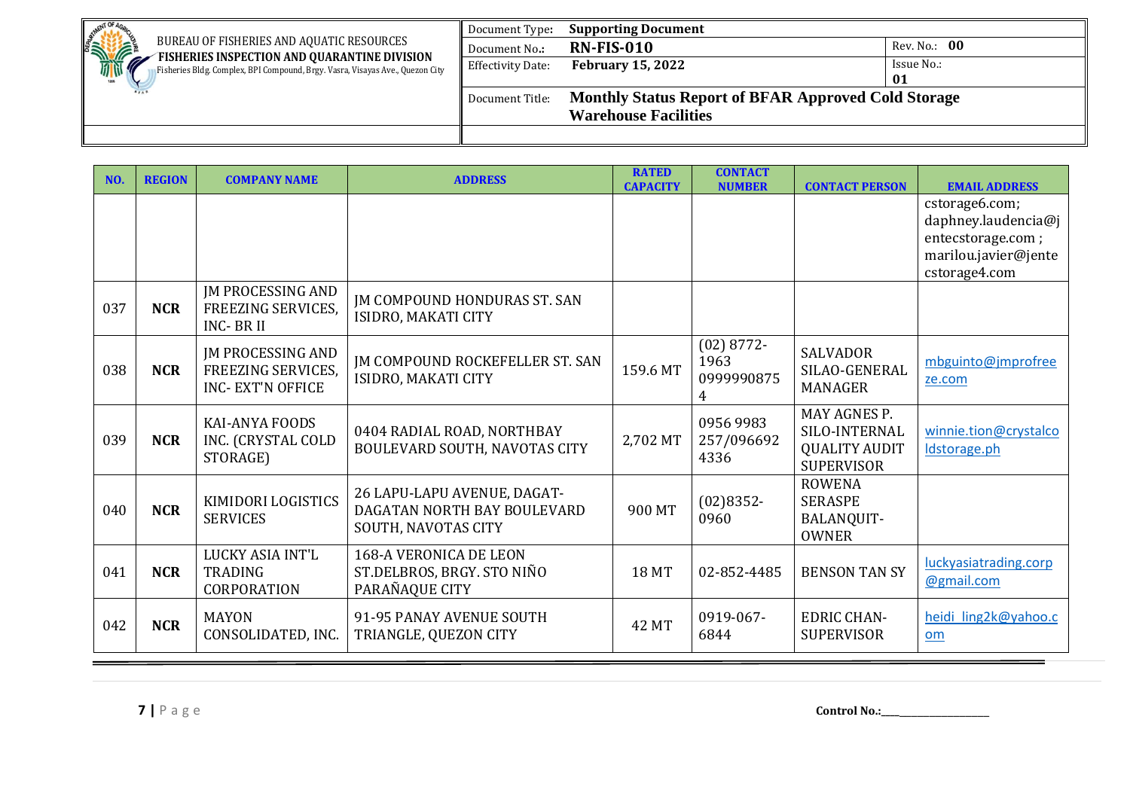| MENT OF                                                                                                                             | Document Type:    | <b>Supporting Document</b>                                 |              |
|-------------------------------------------------------------------------------------------------------------------------------------|-------------------|------------------------------------------------------------|--------------|
| <b>SINTERNATIONAL PROPERTY</b><br>BUREAU OF FISHERIES AND AQUATIC RESOURCES                                                         | Document No.:     | <b>RN-FIS-010</b>                                          | Rev. No.: 00 |
| FISHERIES INSPECTION AND QUARANTINE DIVISION<br>Ø.<br>Fisheries Bldg. Complex, BPI Compound, Brgy. Vasra, Visayas Ave., Quezon City | Effectivity Date: | <b>February 15, 2022</b>                                   | Issue No.:   |
| 1208                                                                                                                                |                   |                                                            | 01           |
|                                                                                                                                     | Document Title:   | <b>Monthly Status Report of BFAR Approved Cold Storage</b> |              |
|                                                                                                                                     |                   | <b>Warehouse Facilities</b>                                |              |
|                                                                                                                                     |                   |                                                            |              |

| NO. | <b>REGION</b> | <b>COMPANY NAME</b>                                                 | <b>ADDRESS</b>                                                                    | <b>RATED</b><br><b>CAPACITY</b> | <b>CONTACT</b><br><b>NUMBER</b>         | <b>CONTACT PERSON</b>                                                      | <b>EMAIL ADDRESS</b>                                                                                |
|-----|---------------|---------------------------------------------------------------------|-----------------------------------------------------------------------------------|---------------------------------|-----------------------------------------|----------------------------------------------------------------------------|-----------------------------------------------------------------------------------------------------|
|     |               |                                                                     |                                                                                   |                                 |                                         |                                                                            | cstorage6.com;<br>daphney.laudencia@j<br>entecstorage.com;<br>marilou.javier@jente<br>cstorage4.com |
| 037 | <b>NCR</b>    | <b>JM PROCESSING AND</b><br>FREEZING SERVICES,<br><b>INC-BRII</b>   | <b>JM COMPOUND HONDURAS ST. SAN</b><br>ISIDRO, MAKATI CITY                        |                                 |                                         |                                                                            |                                                                                                     |
| 038 | <b>NCR</b>    | JM PROCESSING AND<br>FREEZING SERVICES,<br><b>INC- EXT'N OFFICE</b> | <b>IM COMPOUND ROCKEFELLER ST. SAN</b><br>ISIDRO, MAKATI CITY                     | 159.6 MT                        | $(02)$ 8772-<br>1963<br>0999990875<br>4 | <b>SALVADOR</b><br>SILAO-GENERAL<br><b>MANAGER</b>                         | mbguinto@jmprofree<br>ze.com                                                                        |
| 039 | <b>NCR</b>    | <b>KAI-ANYA FOODS</b><br>INC. (CRYSTAL COLD<br>STORAGE)             | 0404 RADIAL ROAD, NORTHBAY<br>BOULEVARD SOUTH, NAVOTAS CITY                       | 2,702 MT                        | 0956 9983<br>257/096692<br>4336         | MAY AGNES P.<br>SILO-INTERNAL<br><b>QUALITY AUDIT</b><br><b>SUPERVISOR</b> | winnie.tion@crystalco<br>Idstorage.ph                                                               |
| 040 | <b>NCR</b>    | KIMIDORI LOGISTICS<br><b>SERVICES</b>                               | 26 LAPU-LAPU AVENUE, DAGAT-<br>DAGATAN NORTH BAY BOULEVARD<br>SOUTH, NAVOTAS CITY | 900 MT                          | $(02)8352 -$<br>0960                    | <b>ROWENA</b><br><b>SERASPE</b><br>BALANQUIT-<br><b>OWNER</b>              |                                                                                                     |
| 041 | <b>NCR</b>    | LUCKY ASIA INT'L<br><b>TRADING</b><br><b>CORPORATION</b>            | <b>168-A VERONICA DE LEON</b><br>ST.DELBROS, BRGY. STO NIÑO<br>PARAÑAQUE CITY     | <b>18 MT</b>                    | 02-852-4485                             | <b>BENSON TAN SY</b>                                                       | luckyasiatrading.corp<br>@gmail.com                                                                 |
| 042 | <b>NCR</b>    | <b>MAYON</b><br>CONSOLIDATED, INC.                                  | 91-95 PANAY AVENUE SOUTH<br>TRIANGLE, QUEZON CITY                                 | <b>42 MT</b>                    | 0919-067-<br>6844                       | <b>EDRIC CHAN-</b><br><b>SUPERVISOR</b>                                    | heidi ling2k@yahoo.c<br>om                                                                          |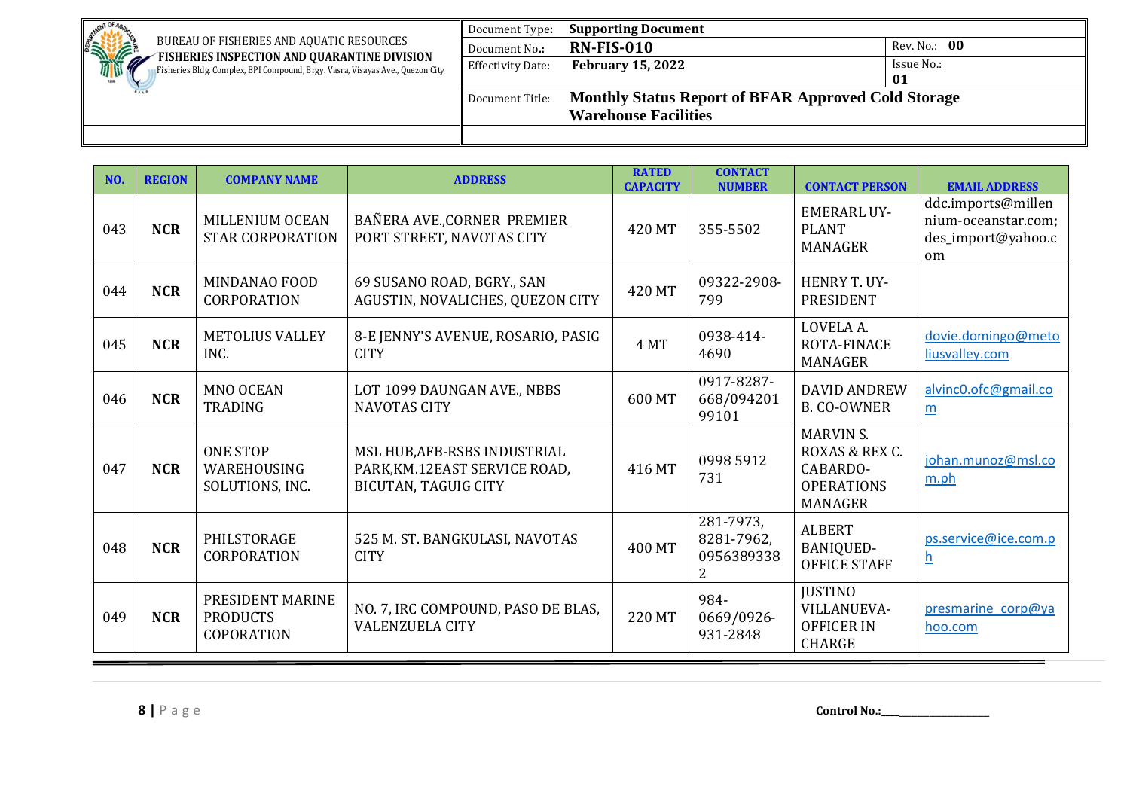| <b>NENT OF</b>                                                                                                                | Document Type:           | <b>Supporting Document</b>                                 |              |  |  |  |
|-------------------------------------------------------------------------------------------------------------------------------|--------------------------|------------------------------------------------------------|--------------|--|--|--|
| <b>SINTERNATIONAL PROPERTY</b><br>BUREAU OF FISHERIES AND AQUATIC RESOURCES                                                   | Document No.:            | <b>RN-FIS-010</b>                                          | Rev. No.: 00 |  |  |  |
| FISHERIES INSPECTION AND QUARANTINE DIVISION<br>Fisheries Bldg. Complex, BPI Compound, Brgy. Vasra, Visayas Ave., Quezon City | <b>Effectivity Date:</b> | <b>February 15, 2022</b>                                   | Issue No.:   |  |  |  |
|                                                                                                                               |                          |                                                            | 01           |  |  |  |
|                                                                                                                               | Document Title:          | <b>Monthly Status Report of BFAR Approved Cold Storage</b> |              |  |  |  |
|                                                                                                                               |                          | <b>Warehouse Facilities</b>                                |              |  |  |  |
|                                                                                                                               |                          |                                                            |              |  |  |  |

| NO. | <b>REGION</b> | <b>COMPANY NAME</b>                                      | <b>ADDRESS</b>                                                                               | <b>RATED</b><br><b>CAPACITY</b> | <b>CONTACT</b><br><b>NUMBER</b>            | <b>CONTACT PERSON</b>                                                                 | <b>EMAIL ADDRESS</b>                                                  |
|-----|---------------|----------------------------------------------------------|----------------------------------------------------------------------------------------------|---------------------------------|--------------------------------------------|---------------------------------------------------------------------------------------|-----------------------------------------------------------------------|
| 043 | <b>NCR</b>    | MILLENIUM OCEAN<br><b>STAR CORPORATION</b>               | BAÑERA AVE., CORNER PREMIER<br>PORT STREET, NAVOTAS CITY                                     | 420 MT                          | 355-5502                                   | <b>EMERARL UY-</b><br><b>PLANT</b><br><b>MANAGER</b>                                  | ddc.imports@millen<br>nium-oceanstar.com;<br>des_import@yahoo.c<br>om |
| 044 | <b>NCR</b>    | <b>MINDANAO FOOD</b><br><b>CORPORATION</b>               | 69 SUSANO ROAD, BGRY., SAN<br>AGUSTIN, NOVALICHES, QUEZON CITY                               | 420 MT                          | 09322-2908-<br>799                         | HENRY T. UY-<br>PRESIDENT                                                             |                                                                       |
| 045 | <b>NCR</b>    | <b>METOLIUS VALLEY</b><br>INC.                           | 8-E JENNY'S AVENUE, ROSARIO, PASIG<br><b>CITY</b>                                            | 4 MT                            | 0938-414-<br>4690                          | LOVELA A.<br><b>ROTA-FINACE</b><br><b>MANAGER</b>                                     | dovie.domingo@meto<br>liusvalley.com                                  |
| 046 | <b>NCR</b>    | <b>MNO OCEAN</b><br><b>TRADING</b>                       | LOT 1099 DAUNGAN AVE., NBBS<br><b>NAVOTAS CITY</b>                                           | 600 MT                          | 0917-8287-<br>668/094201<br>99101          | <b>DAVID ANDREW</b><br><b>B. CO-OWNER</b>                                             | alvinc0.ofc@gmail.co<br>m                                             |
| 047 | <b>NCR</b>    | <b>ONE STOP</b><br>WAREHOUSING<br>SOLUTIONS, INC.        | MSL HUB, AFB-RSBS INDUSTRIAL<br>PARK, KM.12EAST SERVICE ROAD,<br><b>BICUTAN, TAGUIG CITY</b> | 416 MT                          | 0998 5912<br>731                           | <b>MARVIN S.</b><br>ROXAS & REX C.<br>CABARDO-<br><b>OPERATIONS</b><br><b>MANAGER</b> | johan.munoz@msl.co<br>m.ph                                            |
| 048 | <b>NCR</b>    | PHILSTORAGE<br>CORPORATION                               | 525 M. ST. BANGKULASI, NAVOTAS<br><b>CITY</b>                                                | 400 MT                          | 281-7973,<br>8281-7962,<br>0956389338<br>2 | <b>ALBERT</b><br><b>BANIQUED-</b><br><b>OFFICE STAFF</b>                              | ps.service@ice.com.p<br><u>h</u>                                      |
| 049 | <b>NCR</b>    | PRESIDENT MARINE<br><b>PRODUCTS</b><br><b>COPORATION</b> | NO. 7, IRC COMPOUND, PASO DE BLAS,<br><b>VALENZUELA CITY</b>                                 | 220 MT                          | 984-<br>0669/0926-<br>931-2848             | <b>JUSTINO</b><br>VILLANUEVA-<br><b>OFFICER IN</b><br><b>CHARGE</b>                   | presmarine corp@ya<br>hoo.com                                         |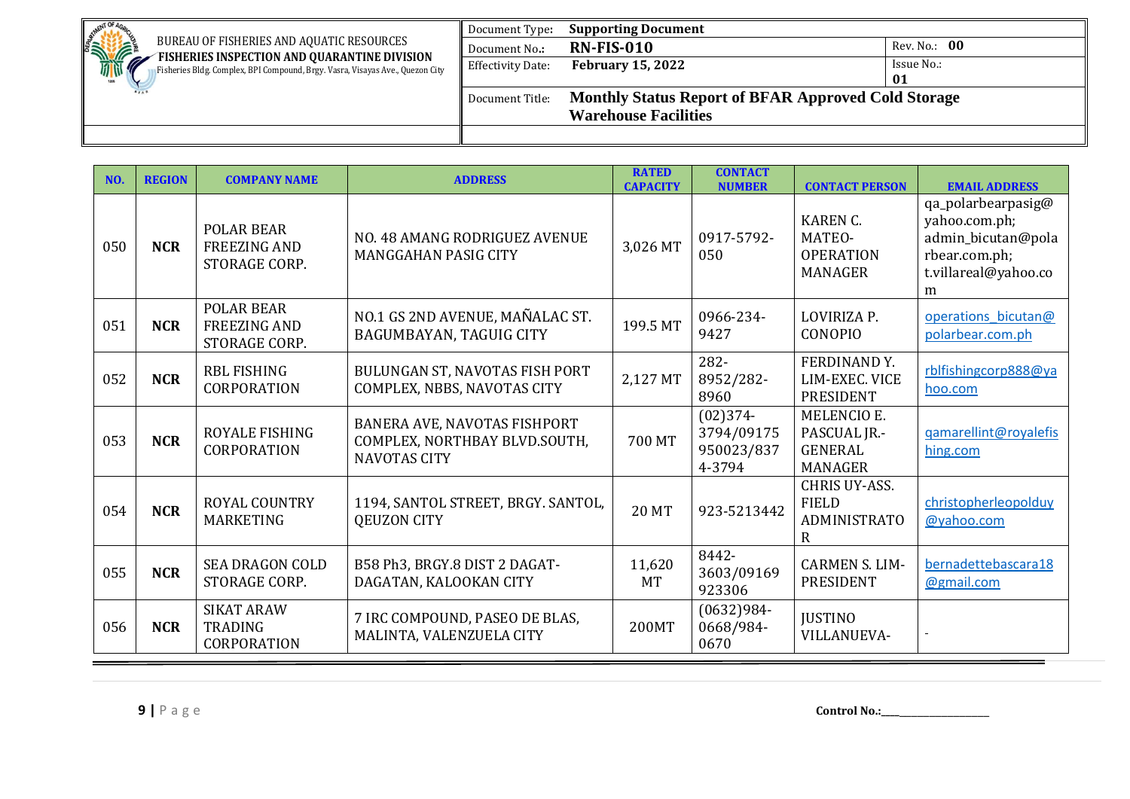| <b>NENT OF</b>                                                                                                                | Document Type:    | <b>Supporting Document</b>                                 |              |
|-------------------------------------------------------------------------------------------------------------------------------|-------------------|------------------------------------------------------------|--------------|
| <b>RATION</b><br>BUREAU OF FISHERIES AND AQUATIC RESOURCES                                                                    | Document No.:     | <b>RN-FIS-010</b>                                          | Rev. No.: 00 |
| FISHERIES INSPECTION AND QUARANTINE DIVISION<br>Fisheries Bldg. Complex, BPI Compound, Brgy. Vasra, Visayas Ave., Quezon City | Effectivity Date: | <b>February 15, 2022</b>                                   | Issue No.:   |
|                                                                                                                               |                   |                                                            | 01           |
|                                                                                                                               | Document Title:   | <b>Monthly Status Report of BFAR Approved Cold Storage</b> |              |
|                                                                                                                               |                   | <b>Warehouse Facilities</b>                                |              |
|                                                                                                                               |                   |                                                            |              |

| NO. | <b>REGION</b> | <b>COMPANY NAME</b>                                       | <b>ADDRESS</b>                                                                       | <b>RATED</b><br><b>CAPACITY</b> | <b>CONTACT</b><br><b>NUMBER</b>                  | <b>CONTACT PERSON</b>                                                  | <b>EMAIL ADDRESS</b>                                                                                    |
|-----|---------------|-----------------------------------------------------------|--------------------------------------------------------------------------------------|---------------------------------|--------------------------------------------------|------------------------------------------------------------------------|---------------------------------------------------------------------------------------------------------|
| 050 | <b>NCR</b>    | <b>POLAR BEAR</b><br><b>FREEZING AND</b><br>STORAGE CORP. | NO. 48 AMANG RODRIGUEZ AVENUE<br><b>MANGGAHAN PASIG CITY</b>                         | 3,026 MT                        | 0917-5792-<br>050                                | <b>KAREN C.</b><br>MATEO-<br><b>OPERATION</b><br><b>MANAGER</b>        | qa_polarbearpasig@<br>yahoo.com.ph;<br>admin_bicutan@pola<br>rbear.com.ph;<br>t.villareal@yahoo.co<br>m |
| 051 | <b>NCR</b>    | <b>POLAR BEAR</b><br><b>FREEZING AND</b><br>STORAGE CORP. | NO.1 GS 2ND AVENUE, MAÑALAC ST.<br>BAGUMBAYAN, TAGUIG CITY                           | 199.5 MT                        | 0966-234-<br>9427                                | LOVIRIZA P.<br>CONOPIO                                                 | operations bicutan@<br>polarbear.com.ph                                                                 |
| 052 | <b>NCR</b>    | <b>RBL FISHING</b><br>CORPORATION                         | BULUNGAN ST, NAVOTAS FISH PORT<br>COMPLEX, NBBS, NAVOTAS CITY                        | 2,127 MT                        | 282-<br>8952/282-<br>8960                        | FERDINAND Y.<br>LIM-EXEC. VICE<br><b>PRESIDENT</b>                     | rblfishingcorp888@ya<br>hoo.com                                                                         |
| 053 | <b>NCR</b>    | <b>ROYALE FISHING</b><br>CORPORATION                      | BANERA AVE, NAVOTAS FISHPORT<br>COMPLEX, NORTHBAY BLVD.SOUTH,<br><b>NAVOTAS CITY</b> | 700 MT                          | $(02)374-$<br>3794/09175<br>950023/837<br>4-3794 | <b>MELENCIO E.</b><br>PASCUAL JR.-<br><b>GENERAL</b><br><b>MANAGER</b> | gamarellint@royalefis<br>hing.com                                                                       |
| 054 | <b>NCR</b>    | <b>ROYAL COUNTRY</b><br><b>MARKETING</b>                  | 1194, SANTOL STREET, BRGY. SANTOL,<br>QEUZON CITY                                    | <b>20 MT</b>                    | 923-5213442                                      | <b>CHRIS UY-ASS.</b><br><b>FIELD</b><br><b>ADMINISTRATO</b><br>R       | christopherleopolduy<br>@yahoo.com                                                                      |
| 055 | <b>NCR</b>    | <b>SEA DRAGON COLD</b><br>STORAGE CORP.                   | B58 Ph3, BRGY.8 DIST 2 DAGAT-<br>DAGATAN, KALOOKAN CITY                              | 11,620<br><b>MT</b>             | 8442-<br>3603/09169<br>923306                    | <b>CARMEN S. LIM-</b><br>PRESIDENT                                     | bernadettebascara18<br>@gmail.com                                                                       |
| 056 | <b>NCR</b>    | <b>SIKAT ARAW</b><br><b>TRADING</b><br><b>CORPORATION</b> | 7 IRC COMPOUND, PASEO DE BLAS,<br>MALINTA, VALENZUELA CITY                           | 200MT                           | $(0632)984-$<br>0668/984-<br>0670                | <b>JUSTINO</b><br><b>VILLANUEVA-</b>                                   |                                                                                                         |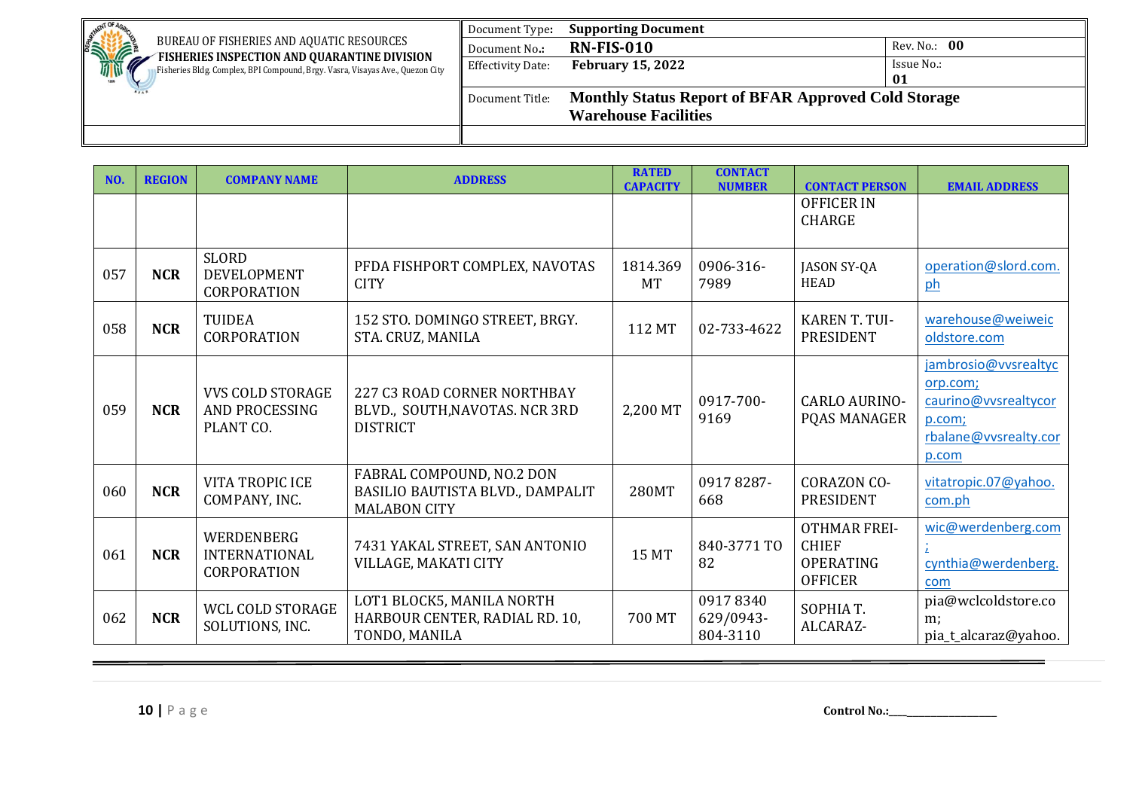| .GNT OF                                                                                                                       | Document Type:           | <b>Supporting Document</b>                                 |              |
|-------------------------------------------------------------------------------------------------------------------------------|--------------------------|------------------------------------------------------------|--------------|
| STATE<br>BUREAU OF FISHERIES AND AQUATIC RESOURCES                                                                            | Document No.:            | <b>RN-FIS-010</b>                                          | Rev. No.: 00 |
| FISHERIES INSPECTION AND QUARANTINE DIVISION<br>Fisheries Bldg. Complex, BPI Compound, Brgy. Vasra, Visayas Ave., Quezon City | <b>Effectivity Date:</b> | <b>February 15, 2022</b>                                   | Issue No.:   |
|                                                                                                                               |                          |                                                            | 01           |
|                                                                                                                               | Document Title:          | <b>Monthly Status Report of BFAR Approved Cold Storage</b> |              |
|                                                                                                                               |                          | <b>Warehouse Facilities</b>                                |              |
|                                                                                                                               |                          |                                                            |              |

| NO. | <b>REGION</b> | <b>COMPANY NAME</b>                                           | <b>ADDRESS</b>                                                                       | <b>RATED</b><br><b>CAPACITY</b> | <b>CONTACT</b><br><b>NUMBER</b>   | <b>CONTACT PERSON</b>                                                     | <b>EMAIL ADDRESS</b>                                                                                 |
|-----|---------------|---------------------------------------------------------------|--------------------------------------------------------------------------------------|---------------------------------|-----------------------------------|---------------------------------------------------------------------------|------------------------------------------------------------------------------------------------------|
|     |               |                                                               |                                                                                      |                                 |                                   | <b>OFFICER IN</b><br><b>CHARGE</b>                                        |                                                                                                      |
| 057 | <b>NCR</b>    | <b>SLORD</b><br><b>DEVELOPMENT</b><br><b>CORPORATION</b>      | PFDA FISHPORT COMPLEX, NAVOTAS<br><b>CITY</b>                                        | 1814.369<br><b>MT</b>           | 0906-316-<br>7989                 | <b>JASON SY-QA</b><br>HEAD                                                | operation@slord.com.<br>ph                                                                           |
| 058 | <b>NCR</b>    | <b>TUIDEA</b><br><b>CORPORATION</b>                           | 152 STO. DOMINGO STREET, BRGY.<br>STA. CRUZ, MANILA                                  | 112 MT                          | 02-733-4622                       | <b>KAREN T. TUI-</b><br><b>PRESIDENT</b>                                  | warehouse@weiweic<br>oldstore.com                                                                    |
| 059 | <b>NCR</b>    | <b>VVS COLD STORAGE</b><br><b>AND PROCESSING</b><br>PLANT CO. | 227 C3 ROAD CORNER NORTHBAY<br>BLVD., SOUTH, NAVOTAS. NCR 3RD<br><b>DISTRICT</b>     | 2,200 MT                        | 0917-700-<br>9169                 | <b>CARLO AURINO-</b><br>PQAS MANAGER                                      | jambrosio@vysrealtyc<br>orp.com;<br>caurino@vvsrealtycor<br>p.com;<br>rbalane@vysrealty.cor<br>p.com |
| 060 | <b>NCR</b>    | <b>VITA TROPIC ICE</b><br>COMPANY, INC.                       | FABRAL COMPOUND, NO.2 DON<br>BASILIO BAUTISTA BLVD., DAMPALIT<br><b>MALABON CITY</b> | 280MT                           | 09178287-<br>668                  | <b>CORAZON CO-</b><br><b>PRESIDENT</b>                                    | vitatropic.07@yahoo.<br>com.ph                                                                       |
| 061 | <b>NCR</b>    | WERDENBERG<br><b>INTERNATIONAL</b><br><b>CORPORATION</b>      | 7431 YAKAL STREET, SAN ANTONIO<br>VILLAGE, MAKATI CITY                               | <b>15 MT</b>                    | 840-3771 TO<br>82                 | <b>OTHMAR FREI-</b><br><b>CHIEF</b><br><b>OPERATING</b><br><b>OFFICER</b> | wic@werdenberg.com<br>cynthia@werdenberg.<br>com                                                     |
| 062 | <b>NCR</b>    | WCL COLD STORAGE<br>SOLUTIONS, INC.                           | LOT1 BLOCK5, MANILA NORTH<br>HARBOUR CENTER, RADIAL RD. 10,<br>TONDO, MANILA         | 700 MT                          | 09178340<br>629/0943-<br>804-3110 | SOPHIA T.<br>ALCARAZ-                                                     | pia@wclcoldstore.co<br>$m$ :<br>pia_t_alcaraz@yahoo.                                                 |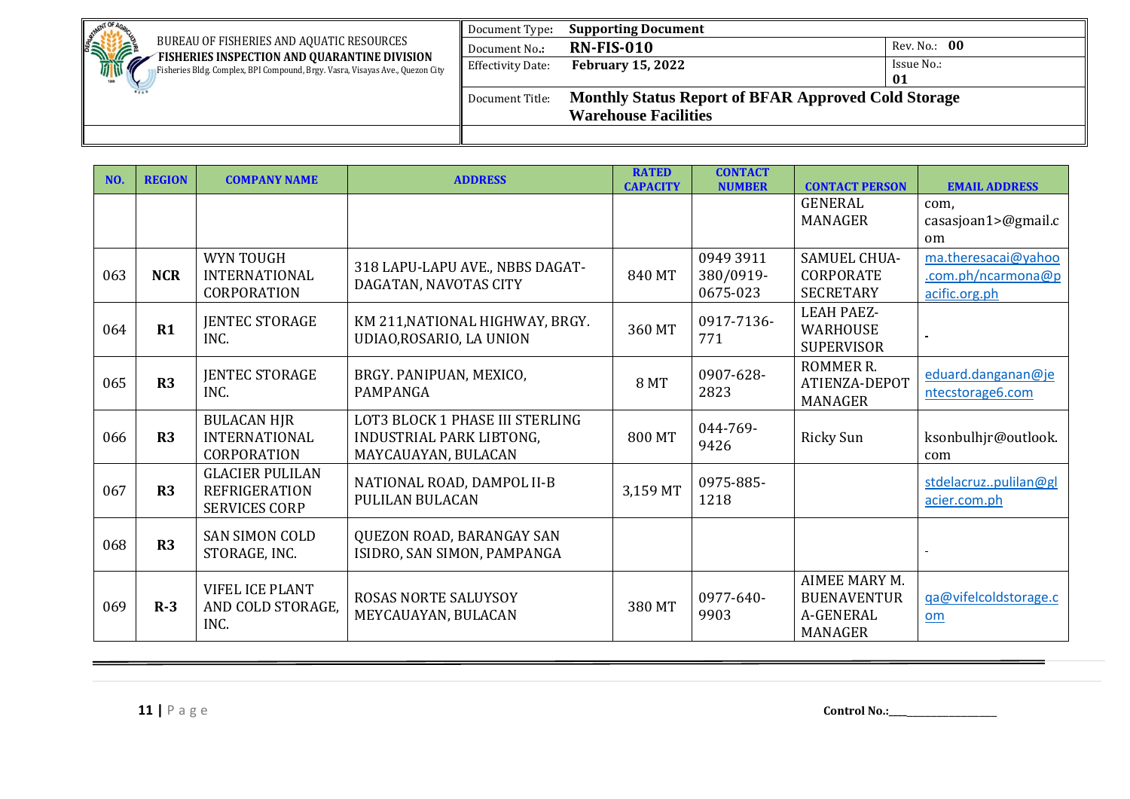| <b>NENT OF</b>                                                                                                                | Document Type:           | <b>Supporting Document</b>                                 |              |  |  |  |
|-------------------------------------------------------------------------------------------------------------------------------|--------------------------|------------------------------------------------------------|--------------|--|--|--|
| <b>SINTERNATIONAL PROPERTY</b><br>BUREAU OF FISHERIES AND AQUATIC RESOURCES                                                   | Document No.:            | <b>RN-FIS-010</b>                                          | Rev. No.: 00 |  |  |  |
| FISHERIES INSPECTION AND QUARANTINE DIVISION<br>Fisheries Bldg. Complex, BPI Compound, Brgy. Vasra, Visayas Ave., Quezon City | <b>Effectivity Date:</b> | <b>February 15, 2022</b>                                   | Issue No.:   |  |  |  |
|                                                                                                                               |                          |                                                            | 01           |  |  |  |
|                                                                                                                               | Document Title:          | <b>Monthly Status Report of BFAR Approved Cold Storage</b> |              |  |  |  |
|                                                                                                                               |                          | <b>Warehouse Facilities</b>                                |              |  |  |  |
|                                                                                                                               |                          |                                                            |              |  |  |  |

| NO. | <b>REGION</b> | <b>COMPANY NAME</b>                                                    | <b>ADDRESS</b>                                                                     | <b>RATED</b><br><b>CAPACITY</b> | <b>CONTACT</b><br><b>NUMBER</b>    | <b>CONTACT PERSON</b>                                              | <b>EMAIL ADDRESS</b>                                       |
|-----|---------------|------------------------------------------------------------------------|------------------------------------------------------------------------------------|---------------------------------|------------------------------------|--------------------------------------------------------------------|------------------------------------------------------------|
|     |               |                                                                        |                                                                                    |                                 |                                    | <b>GENERAL</b><br><b>MANAGER</b>                                   | com,<br>casasjoan1>@gmail.c<br><sub>om</sub>               |
| 063 | <b>NCR</b>    | <b>WYN TOUGH</b><br><b>INTERNATIONAL</b><br>CORPORATION                | 318 LAPU-LAPU AVE., NBBS DAGAT-<br>DAGATAN, NAVOTAS CITY                           | 840 MT                          | 0949 3911<br>380/0919-<br>0675-023 | <b>SAMUEL CHUA-</b><br><b>CORPORATE</b><br><b>SECRETARY</b>        | ma.theresacai@yahoo<br>.com.ph/ncarmona@p<br>acific.org.ph |
| 064 | R1            | <b>JENTEC STORAGE</b><br>INC.                                          | KM 211, NATIONAL HIGHWAY, BRGY.<br>UDIAO, ROSARIO, LA UNION                        | 360 MT                          | 0917-7136-<br>771                  | <b>LEAH PAEZ-</b><br><b>WARHOUSE</b><br><b>SUPERVISOR</b>          |                                                            |
| 065 | R3            | <b>JENTEC STORAGE</b><br>INC.                                          | BRGY. PANIPUAN, MEXICO,<br>PAMPANGA                                                | <b>8 MT</b>                     | 0907-628-<br>2823                  | ROMMER R.<br>ATIENZA-DEPOT<br><b>MANAGER</b>                       | eduard.danganan@je<br>ntecstorage6.com                     |
| 066 | R3            | <b>BULACAN HJR</b><br><b>INTERNATIONAL</b><br><b>CORPORATION</b>       | LOT3 BLOCK 1 PHASE III STERLING<br>INDUSTRIAL PARK LIBTONG,<br>MAYCAUAYAN, BULACAN | 800 MT                          | 044-769-<br>9426                   | <b>Ricky Sun</b>                                                   | ksonbulhjr@outlook.<br>com                                 |
| 067 | R3            | <b>GLACIER PULILAN</b><br><b>REFRIGERATION</b><br><b>SERVICES CORP</b> | NATIONAL ROAD, DAMPOL II-B<br>PULILAN BULACAN                                      | 3,159 MT                        | 0975-885-<br>1218                  |                                                                    | stdelacruzpulilan@gl<br>acier.com.ph                       |
| 068 | R3            | <b>SAN SIMON COLD</b><br>STORAGE, INC.                                 | QUEZON ROAD, BARANGAY SAN<br>ISIDRO, SAN SIMON, PAMPANGA                           |                                 |                                    |                                                                    | $\blacksquare$                                             |
| 069 | $R-3$         | <b>VIFEL ICE PLANT</b><br>AND COLD STORAGE,<br>INC.                    | <b>ROSAS NORTE SALUYSOY</b><br>MEYCAUAYAN, BULACAN                                 | 380 MT                          | 0977-640-<br>9903                  | AIMEE MARY M.<br><b>BUENAVENTUR</b><br>A-GENERAL<br><b>MANAGER</b> | ga@vifelcoldstorage.c<br>om                                |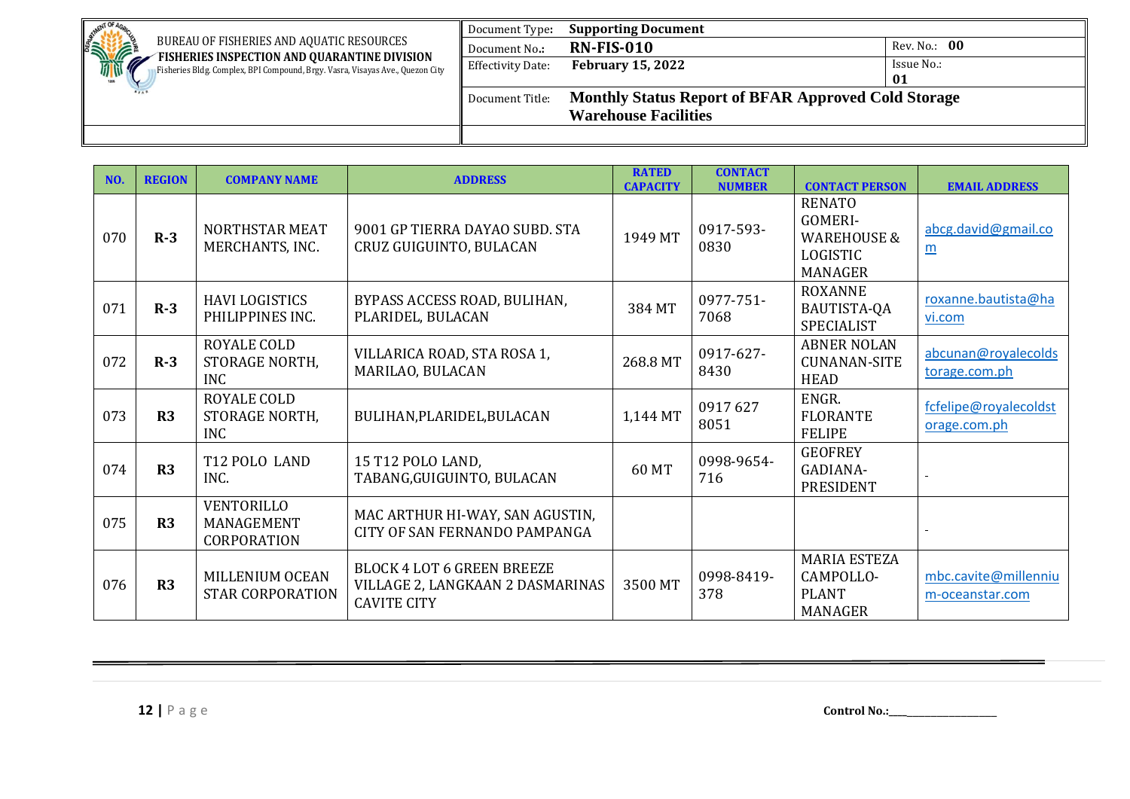| . NENT OF                                                                                                                     | Document Type:           | <b>Supporting Document</b>                                 |              |
|-------------------------------------------------------------------------------------------------------------------------------|--------------------------|------------------------------------------------------------|--------------|
| <b>SHIPPING</b><br>BUREAU OF FISHERIES AND AQUATIC RESOURCES                                                                  | Document No.:            | <b>RN-FIS-010</b>                                          | Rev. No.: 00 |
| FISHERIES INSPECTION AND QUARANTINE DIVISION<br>Fisheries Bldg. Complex, BPI Compound, Brgy. Vasra, Visayas Ave., Quezon City | <b>Effectivity Date:</b> | <b>February 15, 2022</b>                                   | Issue No.:   |
|                                                                                                                               |                          |                                                            | 01           |
|                                                                                                                               | Document Title:          | <b>Monthly Status Report of BFAR Approved Cold Storage</b> |              |
|                                                                                                                               |                          | <b>Warehouse Facilities</b>                                |              |
|                                                                                                                               |                          |                                                            |              |

| NO. | <b>REGION</b>  | <b>COMPANY NAME</b>                            | <b>ADDRESS</b>                                                                              | <b>RATED</b><br><b>CAPACITY</b> | <b>CONTACT</b><br><b>NUMBER</b> | <b>CONTACT PERSON</b>                                                                   | <b>EMAIL ADDRESS</b>                    |
|-----|----------------|------------------------------------------------|---------------------------------------------------------------------------------------------|---------------------------------|---------------------------------|-----------------------------------------------------------------------------------------|-----------------------------------------|
| 070 | $R-3$          | <b>NORTHSTAR MEAT</b><br>MERCHANTS, INC.       | 9001 GP TIERRA DAYAO SUBD. STA<br>CRUZ GUIGUINTO, BULACAN                                   | 1949 MT                         | 0917-593-<br>0830               | <b>RENATO</b><br>GOMERI-<br><b>WAREHOUSE &amp;</b><br><b>LOGISTIC</b><br><b>MANAGER</b> | abcg.david@gmail.co<br>$\underline{m}$  |
| 071 | $R-3$          | <b>HAVI LOGISTICS</b><br>PHILIPPINES INC.      | BYPASS ACCESS ROAD, BULIHAN,<br>PLARIDEL, BULACAN                                           | 384 MT                          | 0977-751-<br>7068               | <b>ROXANNE</b><br>BAUTISTA-QA<br><b>SPECIALIST</b>                                      | roxanne.bautista@ha<br>vi.com           |
| 072 | $R-3$          | ROYALE COLD<br>STORAGE NORTH,<br><b>INC</b>    | VILLARICA ROAD, STA ROSA 1,<br>MARILAO, BULACAN                                             | 268.8 MT                        | 0917-627-<br>8430               | <b>ABNER NOLAN</b><br><b>CUNANAN-SITE</b><br><b>HEAD</b>                                | abcunan@royalecolds<br>torage.com.ph    |
| 073 | R3             | ROYALE COLD<br>STORAGE NORTH,<br><b>INC</b>    | BULIHAN, PLARIDEL, BULACAN                                                                  | 1,144 MT                        | 0917627<br>8051                 | ENGR.<br><b>FLORANTE</b><br><b>FELIPE</b>                                               | fcfelipe@royalecoldst<br>orage.com.ph   |
| 074 | R <sub>3</sub> | T12 POLO LAND<br>INC.                          | 15 T12 POLO LAND,<br>TABANG, GUIGUINTO, BULACAN                                             | 60 MT                           | 0998-9654-<br>716               | <b>GEOFREY</b><br>GADIANA-<br><b>PRESIDENT</b>                                          |                                         |
| 075 | R <sub>3</sub> | VENTORILLO<br>MANAGEMENT<br><b>CORPORATION</b> | MAC ARTHUR HI-WAY, SAN AGUSTIN,<br>CITY OF SAN FERNANDO PAMPANGA                            |                                 |                                 |                                                                                         |                                         |
| 076 | R3             | MILLENIUM OCEAN<br><b>STAR CORPORATION</b>     | <b>BLOCK 4 LOT 6 GREEN BREEZE</b><br>VILLAGE 2, LANGKAAN 2 DASMARINAS<br><b>CAVITE CITY</b> | 3500 MT                         | 0998-8419-<br>378               | <b>MARIA ESTEZA</b><br>CAMPOLLO-<br><b>PLANT</b><br>MANAGER                             | mbc.cavite@millenniu<br>m-oceanstar.com |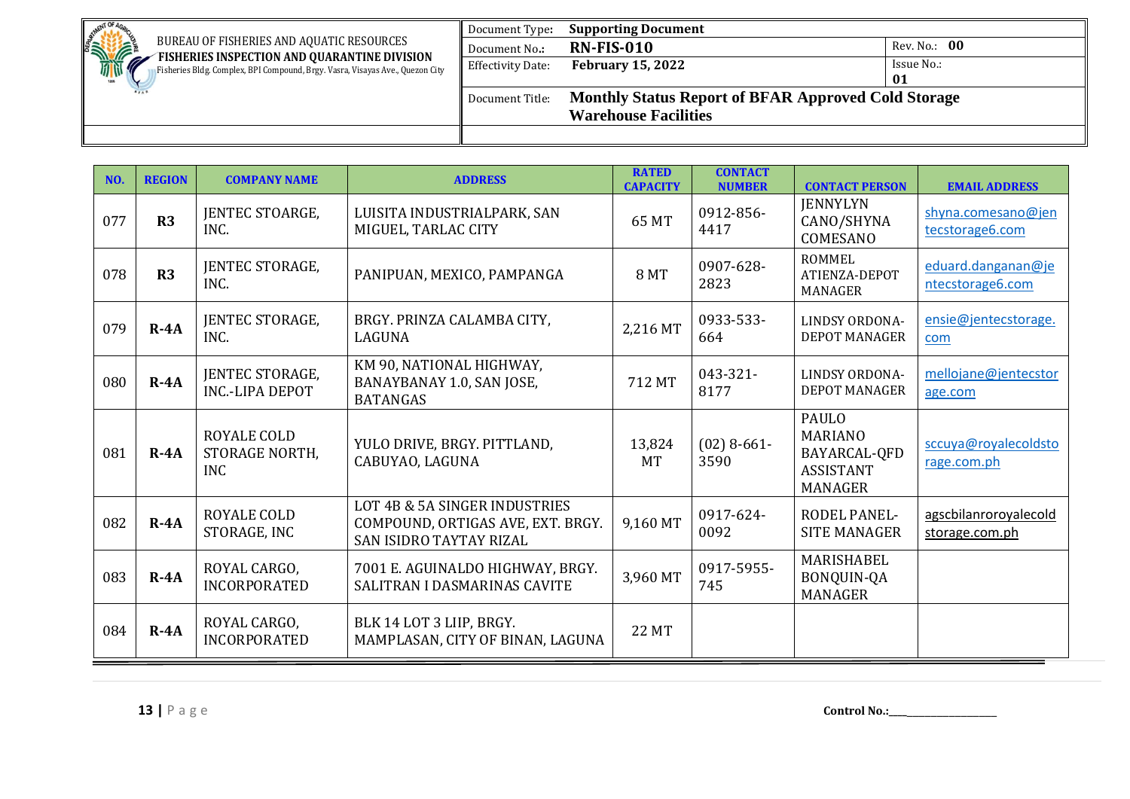| <b>NENT OF</b>                                                                                                                | Document Type:           | <b>Supporting Document</b>                                 |              |
|-------------------------------------------------------------------------------------------------------------------------------|--------------------------|------------------------------------------------------------|--------------|
| <b>SINTERNATIONAL PROPERTY</b><br>BUREAU OF FISHERIES AND AQUATIC RESOURCES                                                   | Document No.:            | <b>RN-FIS-010</b>                                          | Rev. No.: 00 |
| FISHERIES INSPECTION AND QUARANTINE DIVISION<br>Fisheries Bldg. Complex, BPI Compound, Brgy. Vasra, Visayas Ave., Quezon City | <b>Effectivity Date:</b> | <b>February 15, 2022</b>                                   | Issue No.:   |
|                                                                                                                               |                          |                                                            | 01           |
|                                                                                                                               | Document Title:          | <b>Monthly Status Report of BFAR Approved Cold Storage</b> |              |
|                                                                                                                               |                          | <b>Warehouse Facilities</b>                                |              |
|                                                                                                                               |                          |                                                            |              |

| NO. | <b>REGION</b> | <b>COMPANY NAME</b>                         | <b>ADDRESS</b>                                                                                       | <b>RATED</b><br><b>CAPACITY</b> | <b>CONTACT</b><br><b>NUMBER</b> | <b>CONTACT PERSON</b>                                                         | <b>EMAIL ADDRESS</b>                    |
|-----|---------------|---------------------------------------------|------------------------------------------------------------------------------------------------------|---------------------------------|---------------------------------|-------------------------------------------------------------------------------|-----------------------------------------|
| 077 | R3            | JENTEC STOARGE,<br>INC.                     | LUISITA INDUSTRIALPARK, SAN<br>MIGUEL, TARLAC CITY                                                   | 65 MT                           | 0912-856-<br>4417               | <b>IENNYLYN</b><br>CANO/SHYNA<br>COMESANO                                     | shyna.comesano@jen<br>tecstorage6.com   |
| 078 | R3            | JENTEC STORAGE,<br>INC.                     | PANIPUAN, MEXICO, PAMPANGA                                                                           | <b>8 MT</b>                     | 0907-628-<br>2823               | <b>ROMMEL</b><br>ATIENZA-DEPOT<br>MANAGER                                     | eduard.danganan@je<br>ntecstorage6.com  |
| 079 | $R - 4A$      | <b>JENTEC STORAGE,</b><br>INC.              | BRGY. PRINZA CALAMBA CITY,<br>LAGUNA                                                                 | 2,216 MT                        | 0933-533-<br>664                | <b>LINDSY ORDONA-</b><br><b>DEPOT MANAGER</b>                                 | ensie@jentecstorage.<br>com             |
| 080 | $R - 4A$      | JENTEC STORAGE,<br><b>INC.-LIPA DEPOT</b>   | KM 90, NATIONAL HIGHWAY,<br>BANAYBANAY 1.0, SAN JOSE,<br><b>BATANGAS</b>                             | 712 MT                          | 043-321-<br>8177                | <b>LINDSY ORDONA-</b><br><b>DEPOT MANAGER</b>                                 | mellojane@jentecstor<br>age.com         |
| 081 | $R - 4A$      | ROYALE COLD<br>STORAGE NORTH,<br><b>INC</b> | YULO DRIVE, BRGY. PITTLAND,<br>CABUYAO, LAGUNA                                                       | 13,824<br><b>MT</b>             | $(02)$ 8-661-<br>3590           | PAULO<br><b>MARIANO</b><br>BAYARCAL-QFD<br><b>ASSISTANT</b><br><b>MANAGER</b> | sccuya@royalecoldsto<br>rage.com.ph     |
| 082 | $R - 4A$      | ROYALE COLD<br>STORAGE, INC                 | LOT 4B & 5A SINGER INDUSTRIES<br>COMPOUND, ORTIGAS AVE, EXT. BRGY.<br><b>SAN ISIDRO TAYTAY RIZAL</b> | 9,160 MT                        | 0917-624-<br>0092               | <b>RODEL PANEL-</b><br><b>SITE MANAGER</b>                                    | agscbilanroroyalecold<br>storage.com.ph |
| 083 | $R - 4A$      | ROYAL CARGO,<br><b>INCORPORATED</b>         | 7001 E. AGUINALDO HIGHWAY, BRGY.<br>SALITRAN I DASMARINAS CAVITE                                     | 3,960 MT                        | 0917-5955-<br>745               | <b>MARISHABEL</b><br>BONQUIN-QA<br><b>MANAGER</b>                             |                                         |
| 084 | $R - 4A$      | ROYAL CARGO,<br><b>INCORPORATED</b>         | BLK 14 LOT 3 LIIP, BRGY.<br>MAMPLASAN, CITY OF BINAN, LAGUNA                                         | <b>22 MT</b>                    |                                 |                                                                               |                                         |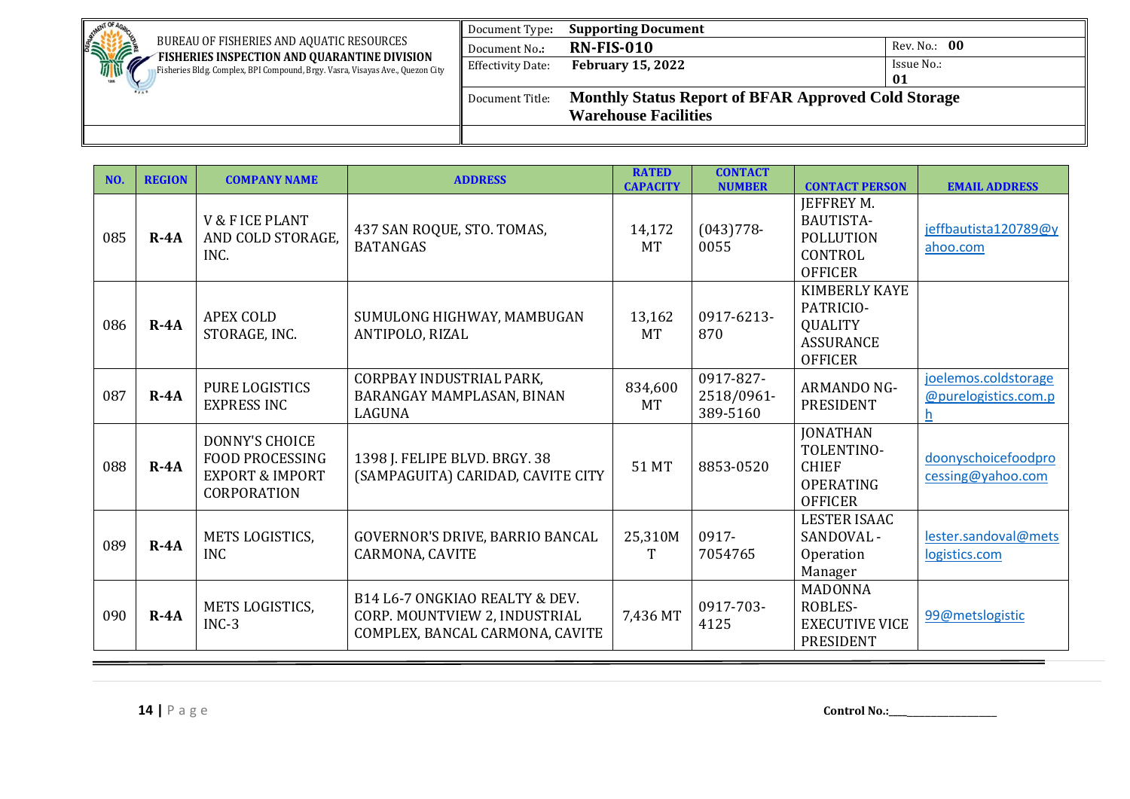| . NENT OF                                                                                                                     | Document Type:           | <b>Supporting Document</b>                                 |              |
|-------------------------------------------------------------------------------------------------------------------------------|--------------------------|------------------------------------------------------------|--------------|
| <b>SHIPPING</b><br>BUREAU OF FISHERIES AND AQUATIC RESOURCES                                                                  | Document No.:            | <b>RN-FIS-010</b>                                          | Rev. No.: 00 |
| FISHERIES INSPECTION AND QUARANTINE DIVISION<br>Fisheries Bldg. Complex, BPI Compound, Brgy. Vasra, Visayas Ave., Quezon City | <b>Effectivity Date:</b> | <b>February 15, 2022</b>                                   | Issue No.:   |
|                                                                                                                               |                          |                                                            | 01           |
|                                                                                                                               | Document Title:          | <b>Monthly Status Report of BFAR Approved Cold Storage</b> |              |
|                                                                                                                               |                          | <b>Warehouse Facilities</b>                                |              |
|                                                                                                                               |                          |                                                            |              |

| NO. | <b>REGION</b> | <b>COMPANY NAME</b>                                                                          | <b>ADDRESS</b>                                                                                     | <b>RATED</b><br><b>CAPACITY</b> | <b>CONTACT</b><br><b>NUMBER</b>     | <b>CONTACT PERSON</b>                                                                     | <b>EMAIL ADDRESS</b>                              |
|-----|---------------|----------------------------------------------------------------------------------------------|----------------------------------------------------------------------------------------------------|---------------------------------|-------------------------------------|-------------------------------------------------------------------------------------------|---------------------------------------------------|
| 085 | $R - 4A$      | <b>V &amp; F ICE PLANT</b><br>AND COLD STORAGE.<br>INC.                                      | 437 SAN ROQUE, STO. TOMAS,<br><b>BATANGAS</b>                                                      | 14,172<br><b>MT</b>             | $(043)778-$<br>0055                 | <b>JEFFREY M.</b><br><b>BAUTISTA-</b><br><b>POLLUTION</b><br>CONTROL<br><b>OFFICER</b>    | jeffbautista120789@y<br>ahoo.com                  |
| 086 | $R - 4A$      | <b>APEX COLD</b><br>STORAGE, INC.                                                            | SUMULONG HIGHWAY, MAMBUGAN<br>ANTIPOLO, RIZAL                                                      | 13,162<br><b>MT</b>             | 0917-6213-<br>870                   | <b>KIMBERLY KAYE</b><br>PATRICIO-<br><b>QUALITY</b><br><b>ASSURANCE</b><br><b>OFFICER</b> |                                                   |
| 087 | $R - 4A$      | PURE LOGISTICS<br><b>EXPRESS INC</b>                                                         | CORPBAY INDUSTRIAL PARK,<br>BARANGAY MAMPLASAN, BINAN<br><b>LAGUNA</b>                             | 834,600<br><b>MT</b>            | 0917-827-<br>2518/0961-<br>389-5160 | <b>ARMANDO NG-</b><br><b>PRESIDENT</b>                                                    | joelemos.coldstorage<br>@purelogistics.com.p<br>h |
| 088 | $R - 4A$      | <b>DONNY'S CHOICE</b><br><b>FOOD PROCESSING</b><br><b>EXPORT &amp; IMPORT</b><br>CORPORATION | 1398 J. FELIPE BLVD. BRGY. 38<br>(SAMPAGUITA) CARIDAD, CAVITE CITY                                 | 51 MT                           | 8853-0520                           | <b>JONATHAN</b><br>TOLENTINO-<br><b>CHIEF</b><br><b>OPERATING</b><br><b>OFFICER</b>       | doonyschoicefoodpro<br>cessing@yahoo.com          |
| 089 | $R - 4A$      | METS LOGISTICS,<br><b>INC</b>                                                                | GOVERNOR'S DRIVE, BARRIO BANCAL<br>CARMONA, CAVITE                                                 | 25,310M<br>T                    | 0917-<br>7054765                    | <b>LESTER ISAAC</b><br>SANDOVAL -<br>Operation<br>Manager                                 | lester.sandoval@mets<br>logistics.com             |
| 090 | $R - 4A$      | METS LOGISTICS,<br>$INC-3$                                                                   | B14 L6-7 ONGKIAO REALTY & DEV.<br>CORP. MOUNTVIEW 2, INDUSTRIAL<br>COMPLEX, BANCAL CARMONA, CAVITE | 7,436 MT                        | 0917-703-<br>4125                   | <b>MADONNA</b><br>ROBLES-<br><b>EXECUTIVE VICE</b><br><b>PRESIDENT</b>                    | 99@metslogistic                                   |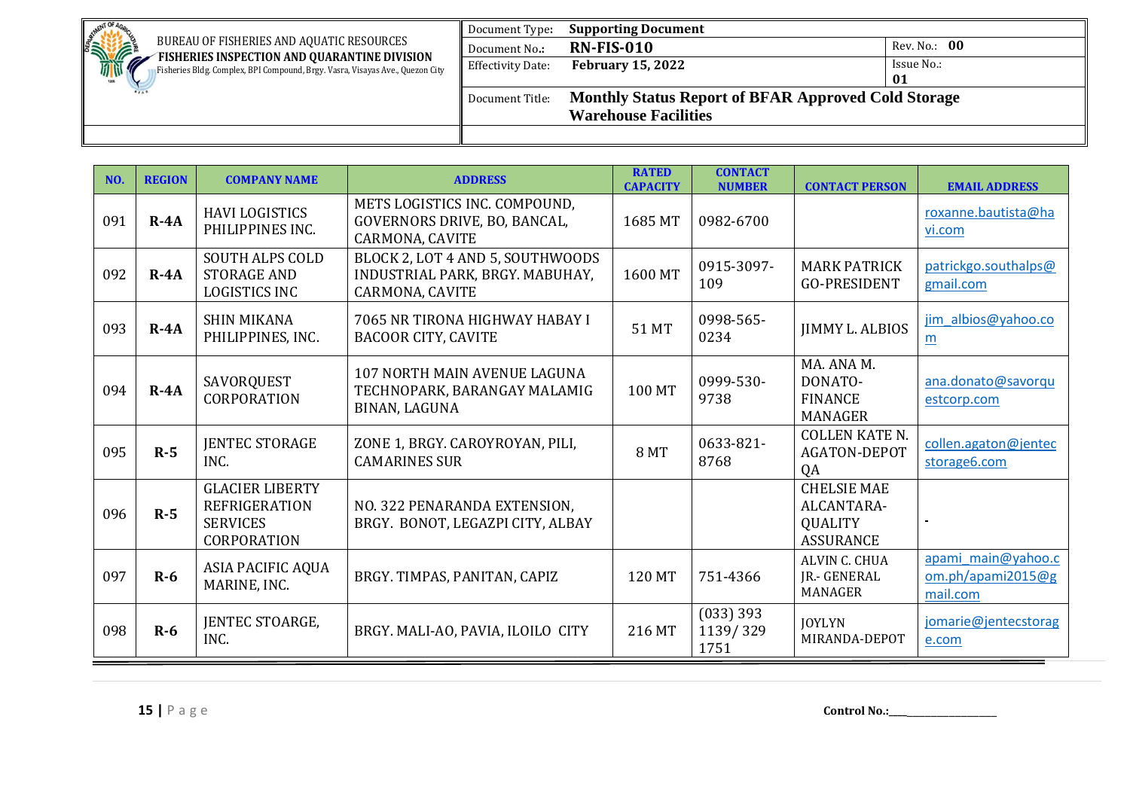| 10T                                                                                                                           | Document Type:           | <b>Supporting Document</b>                                 |              |
|-------------------------------------------------------------------------------------------------------------------------------|--------------------------|------------------------------------------------------------|--------------|
| STATE<br>BUREAU OF FISHERIES AND AQUATIC RESOURCES                                                                            | Document No.:            | <b>RN-FIS-010</b>                                          | Rev. No.: 00 |
| FISHERIES INSPECTION AND QUARANTINE DIVISION<br>Fisheries Bldg. Complex, BPI Compound, Brgy. Vasra, Visayas Ave., Quezon City | <b>Effectivity Date:</b> | <b>February 15, 2022</b>                                   | Issue No.:   |
|                                                                                                                               |                          |                                                            | 01           |
|                                                                                                                               | Document Title:          | <b>Monthly Status Report of BFAR Approved Cold Storage</b> |              |
|                                                                                                                               |                          | <b>Warehouse Facilities</b>                                |              |
|                                                                                                                               |                          |                                                            |              |

| NO. | <b>REGION</b> | <b>COMPANY NAME</b>                                                              | <b>ADDRESS</b>                                                                         | <b>RATED</b><br><b>CAPACITY</b> | <b>CONTACT</b><br><b>NUMBER</b> | <b>CONTACT PERSON</b>                                                  | <b>EMAIL ADDRESS</b>                                 |
|-----|---------------|----------------------------------------------------------------------------------|----------------------------------------------------------------------------------------|---------------------------------|---------------------------------|------------------------------------------------------------------------|------------------------------------------------------|
| 091 | $R - 4A$      | <b>HAVI LOGISTICS</b><br>PHILIPPINES INC.                                        | METS LOGISTICS INC. COMPOUND,<br>GOVERNORS DRIVE, BO, BANCAL,<br>CARMONA, CAVITE       | 1685 MT                         | 0982-6700                       |                                                                        | roxanne.bautista@ha<br>vi.com                        |
| 092 | $R - 4A$      | <b>SOUTH ALPS COLD</b><br><b>STORAGE AND</b><br><b>LOGISTICS INC</b>             | BLOCK 2, LOT 4 AND 5, SOUTHWOODS<br>INDUSTRIAL PARK, BRGY. MABUHAY,<br>CARMONA, CAVITE | 1600 MT                         | 0915-3097-<br>109               | <b>MARK PATRICK</b><br><b>GO-PRESIDENT</b>                             | patrickgo.southalps@<br>gmail.com                    |
| 093 | $R - 4A$      | <b>SHIN MIKANA</b><br>PHILIPPINES, INC.                                          | 7065 NR TIRONA HIGHWAY HABAY I<br><b>BACOOR CITY, CAVITE</b>                           | 51 MT                           | 0998-565-<br>0234               | <b>JIMMY L. ALBIOS</b>                                                 | jim albios@yahoo.co<br>m                             |
| 094 | $R - 4A$      | SAVORQUEST<br><b>CORPORATION</b>                                                 | 107 NORTH MAIN AVENUE LAGUNA<br>TECHNOPARK, BARANGAY MALAMIG<br>BINAN, LAGUNA          | 100 MT                          | 0999-530-<br>9738               | MA. ANA M.<br>DONATO-<br><b>FINANCE</b><br>MANAGER                     | ana.donato@savorqu<br>estcorp.com                    |
| 095 | $R-5$         | <b>JENTEC STORAGE</b><br>INC.                                                    | ZONE 1, BRGY. CAROYROYAN, PILI,<br><b>CAMARINES SUR</b>                                | <b>8 MT</b>                     | 0633-821-<br>8768               | <b>COLLEN KATE N.</b><br><b>AGATON-DEPOT</b><br>QA                     | collen.agaton@jentec<br>storage6.com                 |
| 096 | $R-5$         | <b>GLACIER LIBERTY</b><br><b>REFRIGERATION</b><br><b>SERVICES</b><br>CORPORATION | NO. 322 PENARANDA EXTENSION.<br>BRGY. BONOT, LEGAZPI CITY, ALBAY                       |                                 |                                 | <b>CHELSIE MAE</b><br>ALCANTARA-<br><b>QUALITY</b><br><b>ASSURANCE</b> |                                                      |
| 097 | $R-6$         | ASIA PACIFIC AQUA<br>MARINE, INC.                                                | BRGY. TIMPAS, PANITAN, CAPIZ                                                           | 120 MT                          | 751-4366                        | ALVIN C. CHUA<br><b>JR.- GENERAL</b><br><b>MANAGER</b>                 | apami main@yahoo.c<br>om.php/apami2015@g<br>mail.com |
| 098 | $R-6$         | JENTEC STOARGE,<br>INC.                                                          | BRGY. MALI-AO, PAVIA, ILOILO CITY                                                      | 216 MT                          | (033) 393<br>1139/329<br>1751   | <b>JOYLYN</b><br>MIRANDA-DEPOT                                         | jomarie@jentecstorag<br>e.com                        |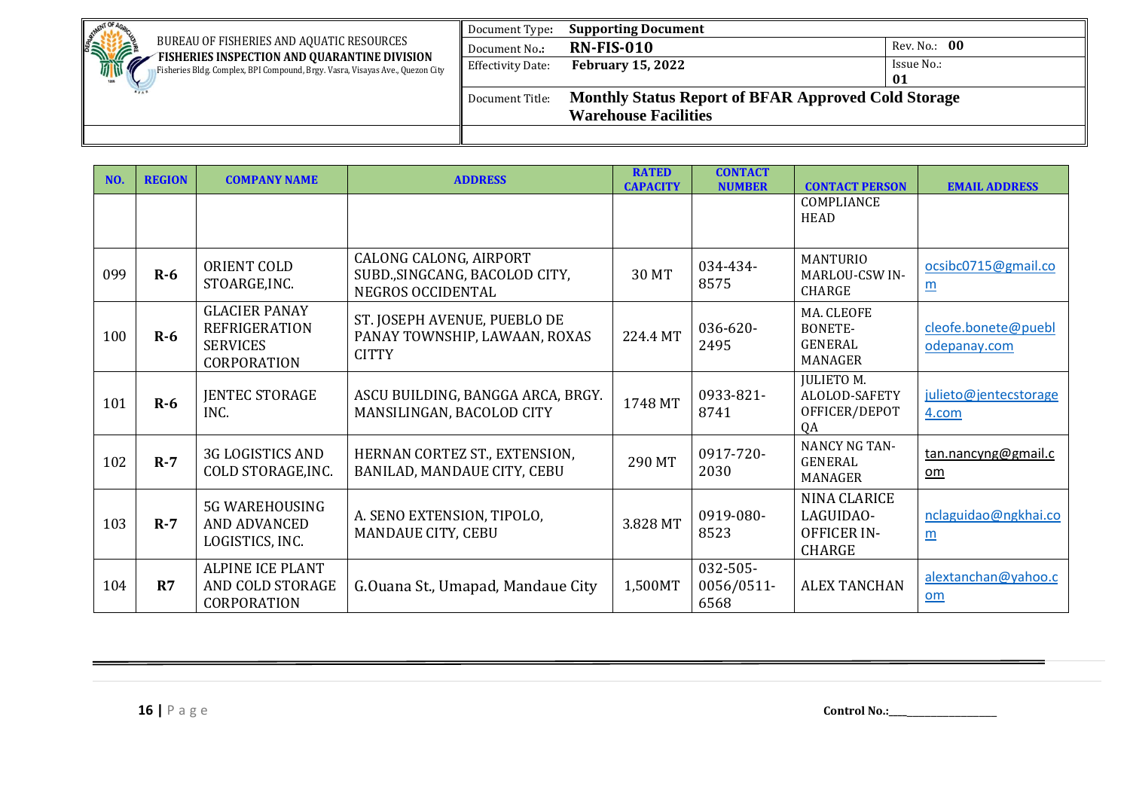| . NENT OF                                                                                                                     | Document Type:           | <b>Supporting Document</b>                                 |              |
|-------------------------------------------------------------------------------------------------------------------------------|--------------------------|------------------------------------------------------------|--------------|
| <b>SINTERNATIONAL PROPERTY</b><br>BUREAU OF FISHERIES AND AQUATIC RESOURCES                                                   | Document No.:            | <b>RN-FIS-010</b>                                          | Rev. No.: 00 |
| FISHERIES INSPECTION AND QUARANTINE DIVISION<br>Fisheries Bldg. Complex, BPI Compound, Brgy. Vasra, Visayas Ave., Quezon City | <b>Effectivity Date:</b> | <b>February 15, 2022</b>                                   | Issue No.:   |
|                                                                                                                               |                          |                                                            | 01           |
|                                                                                                                               | Document Title:          | <b>Monthly Status Report of BFAR Approved Cold Storage</b> |              |
|                                                                                                                               |                          | <b>Warehouse Facilities</b>                                |              |
|                                                                                                                               |                          |                                                            |              |

| NO. | <b>REGION</b> | <b>COMPANY NAME</b>                                                                   | <b>ADDRESS</b>                                                                | <b>RATED</b><br><b>CAPACITY</b> | <b>CONTACT</b><br><b>NUMBER</b> | <b>CONTACT PERSON</b>                                            | <b>EMAIL ADDRESS</b>                    |
|-----|---------------|---------------------------------------------------------------------------------------|-------------------------------------------------------------------------------|---------------------------------|---------------------------------|------------------------------------------------------------------|-----------------------------------------|
|     |               |                                                                                       |                                                                               |                                 |                                 | COMPLIANCE<br><b>HEAD</b>                                        |                                         |
| 099 | $R-6$         | ORIENT COLD<br>STOARGE, INC.                                                          | CALONG CALONG, AIRPORT<br>SUBD., SINGCANG, BACOLOD CITY,<br>NEGROS OCCIDENTAL | 30 MT                           | 034-434-<br>8575                | <b>MANTURIO</b><br><b>MARLOU-CSW IN-</b><br><b>CHARGE</b>        | ocsibc0715@gmail.co<br>$\underline{m}$  |
| 100 | $R-6$         | <b>GLACIER PANAY</b><br><b>REFRIGERATION</b><br><b>SERVICES</b><br><b>CORPORATION</b> | ST. JOSEPH AVENUE, PUEBLO DE<br>PANAY TOWNSHIP, LAWAAN, ROXAS<br><b>CITTY</b> | 224.4 MT                        | 036-620-<br>2495                | MA. CLEOFE<br>BONETE-<br><b>GENERAL</b><br><b>MANAGER</b>        | cleofe.bonete@puebl<br>odepanay.com     |
| 101 | $R-6$         | <b>JENTEC STORAGE</b><br>INC.                                                         | ASCU BUILDING, BANGGA ARCA, BRGY.<br>MANSILINGAN, BACOLOD CITY                | 1748 MT                         | 0933-821-<br>8741               | <b>JULIETOM.</b><br>ALOLOD-SAFETY<br>OFFICER/DEPOT<br>QA         | julieto@jentecstorage<br>4.com          |
| 102 | $R-7$         | <b>3G LOGISTICS AND</b><br>COLD STORAGE, INC.                                         | HERNAN CORTEZ ST., EXTENSION,<br>BANILAD, MANDAUE CITY, CEBU                  | 290 MT                          | 0917-720-<br>2030               | <b>NANCY NG TAN-</b><br><b>GENERAL</b><br><b>MANAGER</b>         | tan.nancyng@gmail.c<br>om               |
| 103 | $R-7$         | <b>5G WAREHOUSING</b><br>AND ADVANCED<br>LOGISTICS, INC.                              | A. SENO EXTENSION, TIPOLO,<br><b>MANDAUE CITY, CEBU</b>                       | 3.828 MT                        | 0919-080-<br>8523               | NINA CLARICE<br>LAGUIDAO-<br><b>OFFICER IN-</b><br><b>CHARGE</b> | nclaguidao@ngkhai.co<br>$\underline{m}$ |
| 104 | R7            | <b>ALPINE ICE PLANT</b><br>AND COLD STORAGE<br>CORPORATION                            | G. Ouana St., Umapad, Mandaue City                                            | 1,500MT                         | 032-505-<br>0056/0511-<br>6568  | <b>ALEX TANCHAN</b>                                              | alextanchan@yahoo.c<br>om               |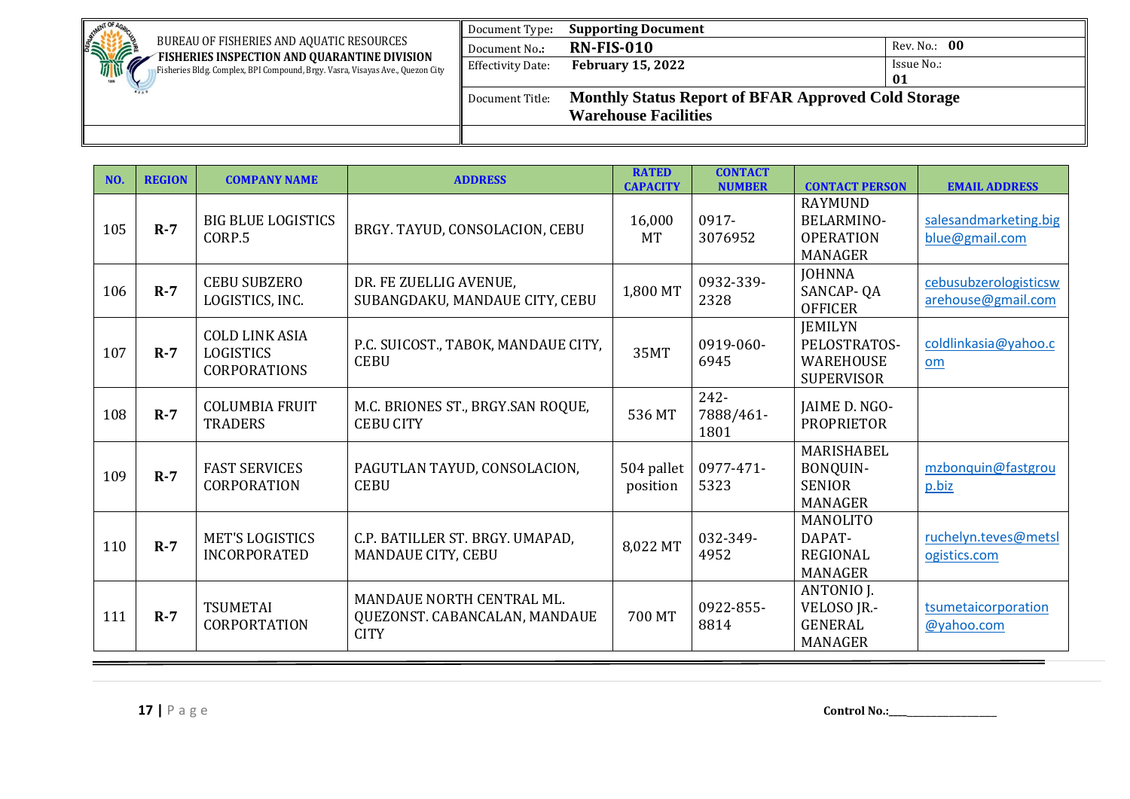| <b>AFNT OF</b>                                                                                                                      | Document Type:           | <b>Supporting Document</b>                                 |              |
|-------------------------------------------------------------------------------------------------------------------------------------|--------------------------|------------------------------------------------------------|--------------|
| <b>SHIPPING</b><br>BUREAU OF FISHERIES AND AQUATIC RESOURCES                                                                        | Document No.:            | <b>RN-FIS-010</b>                                          | Rev. No.: 00 |
| FISHERIES INSPECTION AND QUARANTINE DIVISION<br>Ø.<br>Fisheries Bldg. Complex, BPI Compound, Brgy. Vasra, Visayas Ave., Quezon City | <b>Effectivity Date:</b> | <b>February 15, 2022</b>                                   | Issue No.:   |
|                                                                                                                                     |                          |                                                            | 01           |
|                                                                                                                                     | Document Title:          | <b>Monthly Status Report of BFAR Approved Cold Storage</b> |              |
|                                                                                                                                     |                          | <b>Warehouse Facilities</b>                                |              |
|                                                                                                                                     |                          |                                                            |              |

| NO. | <b>REGION</b> | <b>COMPANY NAME</b>                                              | <b>ADDRESS</b>                                                            | <b>RATED</b><br><b>CAPACITY</b> | <b>CONTACT</b><br><b>NUMBER</b> | <b>CONTACT PERSON</b>                                                     | <b>EMAIL ADDRESS</b>                        |
|-----|---------------|------------------------------------------------------------------|---------------------------------------------------------------------------|---------------------------------|---------------------------------|---------------------------------------------------------------------------|---------------------------------------------|
| 105 | $R-7$         | <b>BIG BLUE LOGISTICS</b><br>CORP.5                              | BRGY. TAYUD, CONSOLACION, CEBU                                            | 16,000<br><b>MT</b>             | 0917-<br>3076952                | <b>RAYMUND</b><br><b>BELARMINO-</b><br><b>OPERATION</b><br><b>MANAGER</b> | salesandmarketing.big<br>blue@gmail.com     |
| 106 | $R-7$         | <b>CEBU SUBZERO</b><br>LOGISTICS, INC.                           | DR. FE ZUELLIG AVENUE,<br>SUBANGDAKU, MANDAUE CITY, CEBU                  | 1,800 MT                        | 0932-339-<br>2328               | <b>JOHNNA</b><br>SANCAP-QA<br><b>OFFICER</b>                              | cebusubzerologisticsw<br>arehouse@gmail.com |
| 107 | $R-7$         | <b>COLD LINK ASIA</b><br><b>LOGISTICS</b><br><b>CORPORATIONS</b> | P.C. SUICOST., TABOK, MANDAUE CITY,<br><b>CEBU</b>                        | 35MT                            | 0919-060-<br>6945               | <b>IEMILYN</b><br>PELOSTRATOS-<br><b>WAREHOUSE</b><br><b>SUPERVISOR</b>   | coldlinkasia@yahoo.c<br>om                  |
| 108 | $R-7$         | <b>COLUMBIA FRUIT</b><br><b>TRADERS</b>                          | M.C. BRIONES ST., BRGY.SAN ROQUE,<br><b>CEBU CITY</b>                     | 536 MT                          | 242-<br>7888/461-<br>1801       | JAIME D. NGO-<br><b>PROPRIETOR</b>                                        |                                             |
| 109 | $R-7$         | <b>FAST SERVICES</b><br><b>CORPORATION</b>                       | PAGUTLAN TAYUD, CONSOLACION,<br><b>CEBU</b>                               | 504 pallet<br>position          | 0977-471-<br>5323               | <b>MARISHABEL</b><br>BONQUIN-<br><b>SENIOR</b><br><b>MANAGER</b>          | mzbonquin@fastgrou<br>p.biz                 |
| 110 | $R-7$         | <b>MET'S LOGISTICS</b><br><b>INCORPORATED</b>                    | C.P. BATILLER ST. BRGY. UMAPAD,<br><b>MANDAUE CITY, CEBU</b>              | 8,022 MT                        | 032-349-<br>4952                | <b>MANOLITO</b><br>DAPAT-<br><b>REGIONAL</b><br><b>MANAGER</b>            | ruchelyn.teves@metsl<br>ogistics.com        |
| 111 | $R-7$         | <b>TSUMETAI</b><br><b>CORPORTATION</b>                           | MANDAUE NORTH CENTRAL ML.<br>QUEZONST. CABANCALAN, MANDAUE<br><b>CITY</b> | 700 MT                          | 0922-855-<br>8814               | ANTONIO J.<br>VELOSO JR.-<br><b>GENERAL</b><br><b>MANAGER</b>             | tsumetaicorporation<br>@yahoo.com           |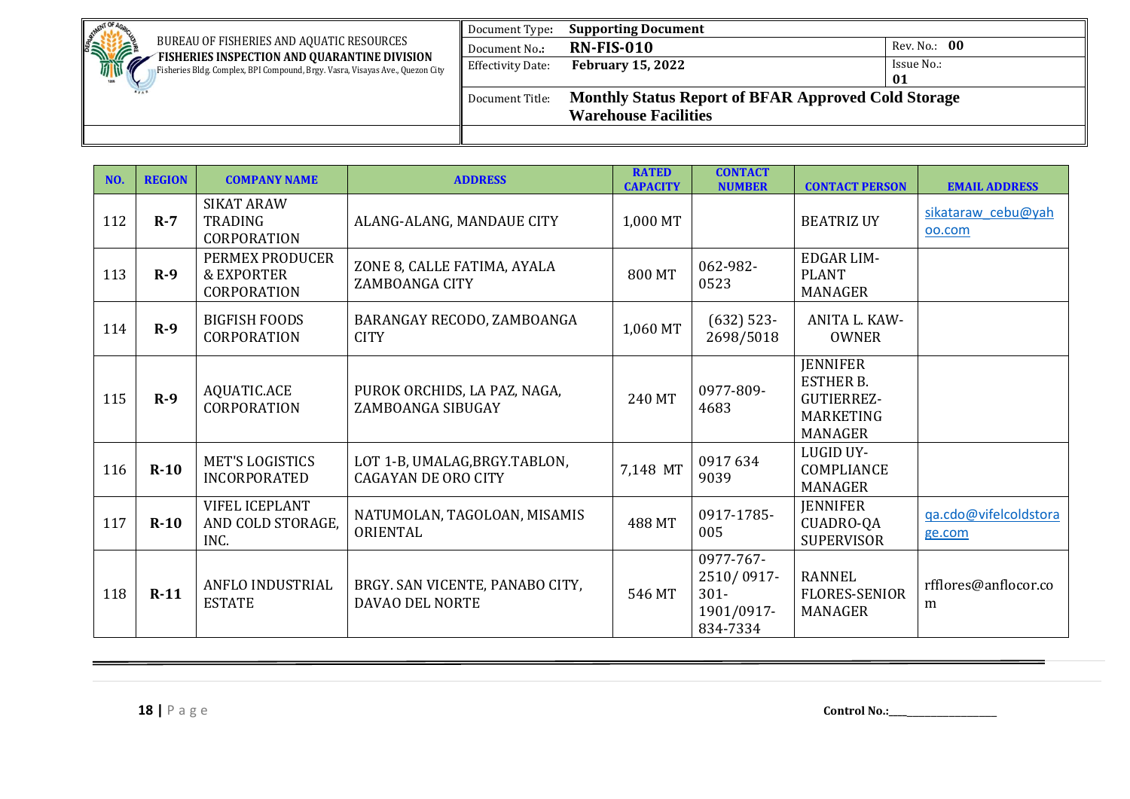| MENT OF A                                                                                                                     | Document Type:    | <b>Supporting Document</b>                                 |              |
|-------------------------------------------------------------------------------------------------------------------------------|-------------------|------------------------------------------------------------|--------------|
| <b>SHIPPING</b><br>BUREAU OF FISHERIES AND AQUATIC RESOURCES                                                                  | Document No.:     | <b>RN-FIS-010</b>                                          | Rev. No.: 00 |
| FISHERIES INSPECTION AND QUARANTINE DIVISION<br>Fisheries Bldg. Complex, BPI Compound, Brgy. Vasra, Visayas Ave., Quezon City | Effectivity Date: | <b>February 15, 2022</b>                                   | Issue No.:   |
|                                                                                                                               |                   |                                                            | 01           |
|                                                                                                                               | Document Title:   | <b>Monthly Status Report of BFAR Approved Cold Storage</b> |              |
|                                                                                                                               |                   | <b>Warehouse Facilities</b>                                |              |
|                                                                                                                               |                   |                                                            |              |

| NO. | <b>REGION</b> | <b>COMPANY NAME</b>                                            | <b>ADDRESS</b>                                               | <b>RATED</b><br><b>CAPACITY</b> | <b>CONTACT</b><br><b>NUMBER</b>                              | <b>CONTACT PERSON</b>                                                                   | <b>EMAIL ADDRESS</b>            |
|-----|---------------|----------------------------------------------------------------|--------------------------------------------------------------|---------------------------------|--------------------------------------------------------------|-----------------------------------------------------------------------------------------|---------------------------------|
| 112 | $R-7$         | <b>SIKAT ARAW</b><br><b>TRADING</b><br>CORPORATION             | ALANG-ALANG, MANDAUE CITY                                    | 1,000 MT                        |                                                              | <b>BEATRIZ UY</b>                                                                       | sikataraw cebu@yah<br>oo.com    |
| 113 | $R-9$         | PERMEX PRODUCER<br><b>&amp; EXPORTER</b><br><b>CORPORATION</b> | ZONE 8, CALLE FATIMA, AYALA<br>ZAMBOANGA CITY                | 800 MT                          | 062-982-<br>0523                                             | <b>EDGAR LIM-</b><br><b>PLANT</b><br>MANAGER                                            |                                 |
| 114 | $R-9$         | <b>BIGFISH FOODS</b><br>CORPORATION                            | BARANGAY RECODO, ZAMBOANGA<br><b>CITY</b>                    | 1,060 MT                        | $(632)$ 523-<br>2698/5018                                    | ANITA L. KAW-<br><b>OWNER</b>                                                           |                                 |
| 115 | $R-9$         | AQUATIC.ACE<br><b>CORPORATION</b>                              | PUROK ORCHIDS, LA PAZ, NAGA,<br>ZAMBOANGA SIBUGAY            | 240 MT                          | 0977-809-<br>4683                                            | <b>JENNIFER</b><br><b>ESTHER B.</b><br>GUTIERREZ-<br><b>MARKETING</b><br><b>MANAGER</b> |                                 |
| 116 | $R-10$        | <b>MET'S LOGISTICS</b><br><b>INCORPORATED</b>                  | LOT 1-B, UMALAG, BRGY. TABLON,<br><b>CAGAYAN DE ORO CITY</b> | 7,148 MT                        | 0917634<br>9039                                              | <b>LUGID UY-</b><br>COMPLIANCE<br><b>MANAGER</b>                                        |                                 |
| 117 | $R-10$        | <b>VIFEL ICEPLANT</b><br>AND COLD STORAGE,<br>INC.             | NATUMOLAN, TAGOLOAN, MISAMIS<br>ORIENTAL                     | 488 MT                          | 0917-1785-<br>005                                            | <b>JENNIFER</b><br>CUADRO-QA<br><b>SUPERVISOR</b>                                       | qa.cdo@vifelcoldstora<br>ge.com |
| 118 | $R-11$        | ANFLO INDUSTRIAL<br><b>ESTATE</b>                              | BRGY. SAN VICENTE, PANABO CITY,<br>DAVAO DEL NORTE           | 546 MT                          | 0977-767-<br>2510/0917-<br>$301 -$<br>1901/0917-<br>834-7334 | <b>RANNEL</b><br><b>FLORES-SENIOR</b><br><b>MANAGER</b>                                 | rfflores@anflocor.co<br>m       |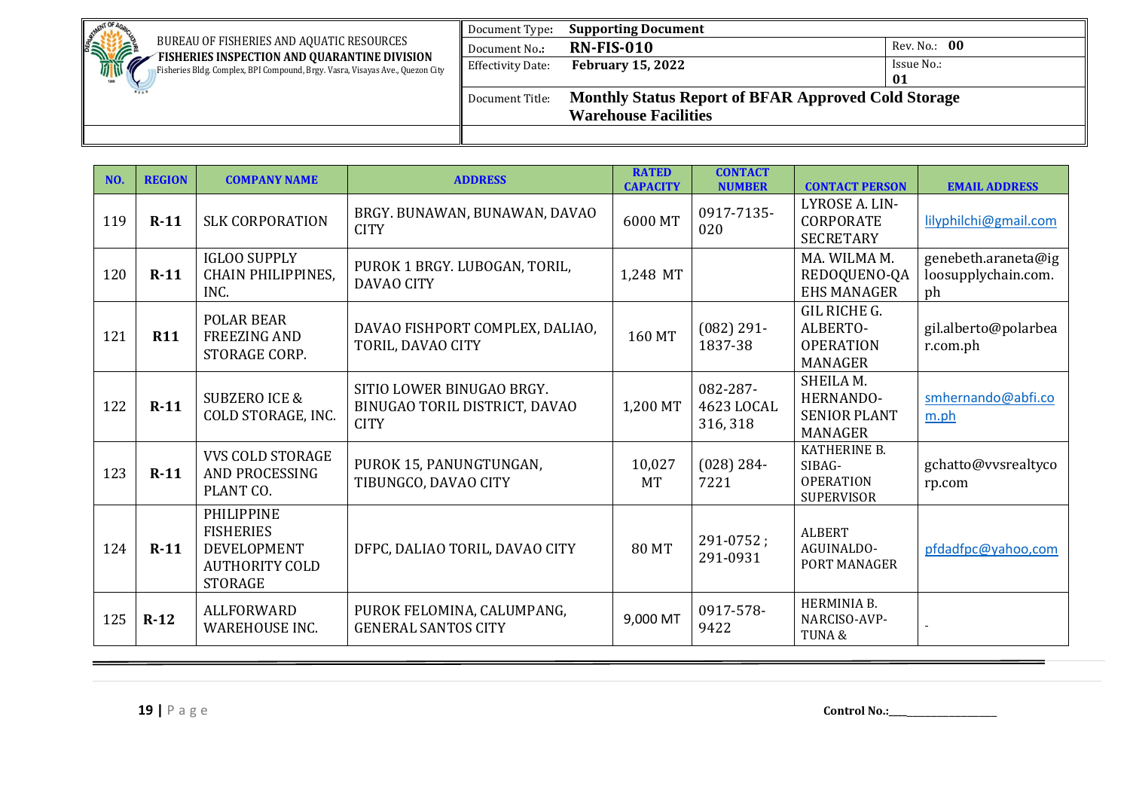| <b>NENT OF</b>                                                                                                                | Document Type:    | <b>Supporting Document</b>                                 |              |  |  |
|-------------------------------------------------------------------------------------------------------------------------------|-------------------|------------------------------------------------------------|--------------|--|--|
| <b>RATION</b><br>BUREAU OF FISHERIES AND AQUATIC RESOURCES                                                                    | Document No.:     | <b>RN-FIS-010</b>                                          | Rev. No.: 00 |  |  |
| FISHERIES INSPECTION AND QUARANTINE DIVISION<br>Fisheries Bldg. Complex, BPI Compound, Brgy. Vasra, Visayas Ave., Quezon City | Effectivity Date: | <b>February 15, 2022</b>                                   | Issue No.:   |  |  |
|                                                                                                                               |                   |                                                            | 01           |  |  |
|                                                                                                                               | Document Title:   | <b>Monthly Status Report of BFAR Approved Cold Storage</b> |              |  |  |
|                                                                                                                               |                   | <b>Warehouse Facilities</b>                                |              |  |  |
|                                                                                                                               |                   |                                                            |              |  |  |

| NO. | <b>REGION</b> | <b>COMPANY NAME</b>                                                                             | <b>ADDRESS</b>                                                            | <b>RATED</b><br><b>CAPACITY</b> | <b>CONTACT</b><br><b>NUMBER</b>    | <b>CONTACT PERSON</b>                                           | <b>EMAIL ADDRESS</b>                             |
|-----|---------------|-------------------------------------------------------------------------------------------------|---------------------------------------------------------------------------|---------------------------------|------------------------------------|-----------------------------------------------------------------|--------------------------------------------------|
| 119 | $R-11$        | <b>SLK CORPORATION</b>                                                                          | BRGY. BUNAWAN, BUNAWAN, DAVAO<br><b>CITY</b>                              | 6000 MT                         | 0917-7135-<br>020                  | LYROSE A. LIN-<br><b>CORPORATE</b><br><b>SECRETARY</b>          | lilyphilchi@gmail.com                            |
| 120 | $R-11$        | <b>IGLOO SUPPLY</b><br>CHAIN PHILIPPINES,<br>INC.                                               | PUROK 1 BRGY. LUBOGAN, TORIL,<br><b>DAVAO CITY</b>                        | 1,248 MT                        |                                    | MA. WILMA M.<br>REDOQUENO-QA<br><b>EHS MANAGER</b>              | genebeth.araneta@ig<br>loosupplychain.com.<br>ph |
| 121 | <b>R11</b>    | <b>POLAR BEAR</b><br><b>FREEZING AND</b><br>STORAGE CORP.                                       | DAVAO FISHPORT COMPLEX, DALIAO,<br>TORIL, DAVAO CITY                      | 160 MT                          | $(082)$ 291-<br>1837-38            | GIL RICHE G.<br>ALBERTO-<br><b>OPERATION</b><br><b>MANAGER</b>  | gil.alberto@polarbea<br>r.com.ph                 |
| 122 | $R-11$        | <b>SUBZERO ICE &amp;</b><br>COLD STORAGE, INC.                                                  | SITIO LOWER BINUGAO BRGY.<br>BINUGAO TORIL DISTRICT, DAVAO<br><b>CITY</b> | 1,200 MT                        | 082-287-<br>4623 LOCAL<br>316, 318 | SHEILA M.<br>HERNANDO-<br><b>SENIOR PLANT</b><br><b>MANAGER</b> | smhernando@abfi.co<br>m.ph                       |
| 123 | $R-11$        | <b>VVS COLD STORAGE</b><br>AND PROCESSING<br>PLANT CO.                                          | PUROK 15, PANUNGTUNGAN,<br>TIBUNGCO, DAVAO CITY                           | 10,027<br><b>MT</b>             | $(028)$ 284-<br>7221               | KATHERINE B.<br>SIBAG-<br><b>OPERATION</b><br><b>SUPERVISOR</b> | gchatto@vvsrealtyco<br>rp.com                    |
| 124 | $R-11$        | <b>PHILIPPINE</b><br><b>FISHERIES</b><br>DEVELOPMENT<br><b>AUTHORITY COLD</b><br><b>STORAGE</b> | DFPC, DALIAO TORIL, DAVAO CITY                                            | <b>80 MT</b>                    | $291 - 0752;$<br>291-0931          | <b>ALBERT</b><br>AGUINALDO-<br>PORT MANAGER                     | pfdadfpc@yahoo,com                               |
| 125 | $R-12$        | ALLFORWARD<br><b>WAREHOUSE INC.</b>                                                             | PUROK FELOMINA, CALUMPANG,<br><b>GENERAL SANTOS CITY</b>                  | 9,000 MT                        | 0917-578-<br>9422                  | HERMINIA B.<br>NARCISO-AVP-<br>TUNA&                            |                                                  |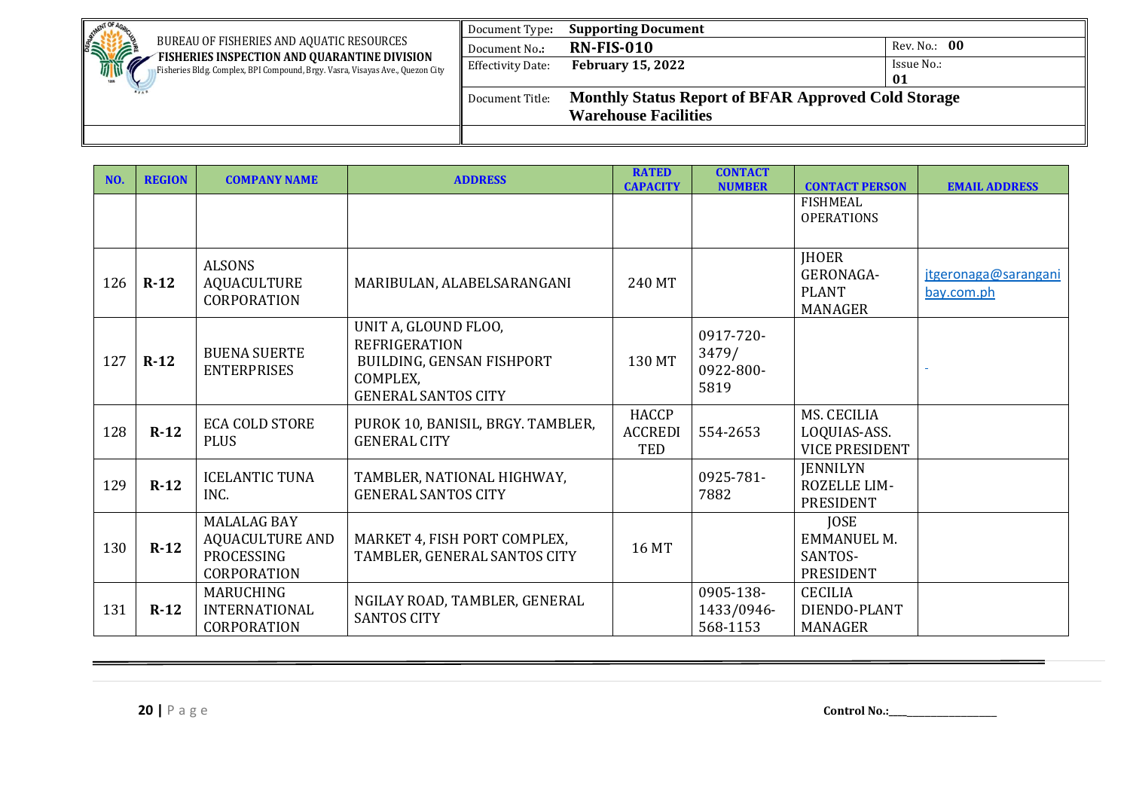| . NENT OF<br><b>SINTERNATIONAL PROPERTY</b><br>BUREAU OF FISHERIES AND AQUATIC RESOURCES                                      | Document Type:           | <b>Supporting Document</b>                                 |              |  |
|-------------------------------------------------------------------------------------------------------------------------------|--------------------------|------------------------------------------------------------|--------------|--|
|                                                                                                                               | Document No.:            | <b>RN-FIS-010</b>                                          | Rev. No.: 00 |  |
| FISHERIES INSPECTION AND QUARANTINE DIVISION<br>Fisheries Bldg. Complex, BPI Compound, Brgy. Vasra, Visayas Ave., Quezon City | <b>Effectivity Date:</b> | <b>February 15, 2022</b>                                   | Issue No.:   |  |
|                                                                                                                               |                          |                                                            | 01           |  |
|                                                                                                                               | Document Title:          | <b>Monthly Status Report of BFAR Approved Cold Storage</b> |              |  |
|                                                                                                                               |                          | <b>Warehouse Facilities</b>                                |              |  |
|                                                                                                                               |                          |                                                            |              |  |

| NO. | <b>REGION</b> | <b>COMPANY NAME</b>                                                       | <b>ADDRESS</b>                                                                                                      | <b>RATED</b><br><b>CAPACITY</b> | <b>CONTACT</b><br><b>NUMBER</b>         | <b>CONTACT PERSON</b>                                       | <b>EMAIL ADDRESS</b>               |
|-----|---------------|---------------------------------------------------------------------------|---------------------------------------------------------------------------------------------------------------------|---------------------------------|-----------------------------------------|-------------------------------------------------------------|------------------------------------|
|     |               |                                                                           |                                                                                                                     |                                 |                                         | <b>FISHMEAL</b><br><b>OPERATIONS</b>                        |                                    |
| 126 | $R-12$        | <b>ALSONS</b><br>AQUACULTURE<br><b>CORPORATION</b>                        | MARIBULAN, ALABELSARANGANI                                                                                          | 240 MT                          |                                         | <b>IHOER</b><br>GERONAGA-<br><b>PLANT</b><br><b>MANAGER</b> | jtgeronaga@sarangani<br>bay.com.ph |
| 127 | $R-12$        | <b>BUENA SUERTE</b><br><b>ENTERPRISES</b>                                 | UNIT A, GLOUND FLOO,<br><b>REFRIGERATION</b><br>BUILDING, GENSAN FISHPORT<br>COMPLEX,<br><b>GENERAL SANTOS CITY</b> | 130 MT                          | 0917-720-<br>3479/<br>0922-800-<br>5819 |                                                             |                                    |
| 128 | $R-12$        | <b>ECA COLD STORE</b><br><b>PLUS</b>                                      | PUROK 10, BANISIL, BRGY. TAMBLER,<br><b>GENERAL CITY</b>                                                            | HACCP<br><b>ACCREDI</b><br>TED  | 554-2653                                | MS. CECILIA<br>LOQUIAS-ASS.<br><b>VICE PRESIDENT</b>        |                                    |
| 129 | $R-12$        | <b>ICELANTIC TUNA</b><br>INC.                                             | TAMBLER, NATIONAL HIGHWAY,<br><b>GENERAL SANTOS CITY</b>                                                            |                                 | 0925-781-<br>7882                       | <b>JENNILYN</b><br><b>ROZELLE LIM-</b><br><b>PRESIDENT</b>  |                                    |
| 130 | $R-12$        | <b>MALALAG BAY</b><br><b>AQUACULTURE AND</b><br>PROCESSING<br>CORPORATION | MARKET 4, FISH PORT COMPLEX,<br>TAMBLER, GENERAL SANTOS CITY                                                        | 16 MT                           |                                         | <b>JOSE</b><br><b>EMMANUEL M.</b><br>SANTOS-<br>PRESIDENT   |                                    |
| 131 | $R-12$        | MARUCHING<br><b>INTERNATIONAL</b><br><b>CORPORATION</b>                   | NGILAY ROAD, TAMBLER, GENERAL<br><b>SANTOS CITY</b>                                                                 |                                 | 0905-138-<br>1433/0946-<br>568-1153     | <b>CECILIA</b><br>DIENDO-PLANT<br><b>MANAGER</b>            |                                    |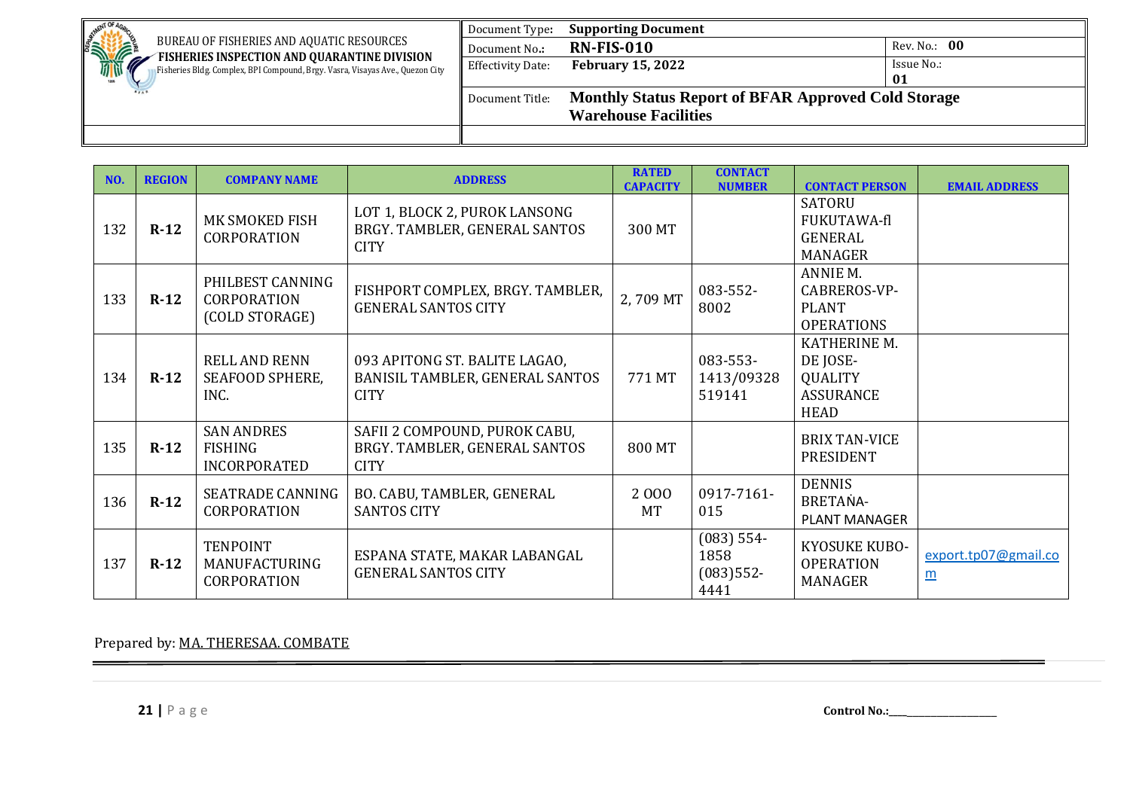| . NENT OF<br><b>SHIPPING</b><br>BUREAU OF FISHERIES AND AQUATIC RESOURCES                                                     | Document Type:           | <b>Supporting Document</b>                                 |              |  |
|-------------------------------------------------------------------------------------------------------------------------------|--------------------------|------------------------------------------------------------|--------------|--|
|                                                                                                                               | Document No.:            | <b>RN-FIS-010</b>                                          | Rev. No.: 00 |  |
| FISHERIES INSPECTION AND QUARANTINE DIVISION<br>Fisheries Bldg. Complex, BPI Compound, Brgy. Vasra, Visayas Ave., Quezon City | <b>Effectivity Date:</b> | <b>February 15, 2022</b>                                   | Issue No.:   |  |
|                                                                                                                               |                          |                                                            | 01           |  |
|                                                                                                                               | Document Title:          | <b>Monthly Status Report of BFAR Approved Cold Storage</b> |              |  |
|                                                                                                                               |                          | <b>Warehouse Facilities</b>                                |              |  |
|                                                                                                                               |                          |                                                            |              |  |

| NO. | <b>REGION</b> | <b>COMPANY NAME</b>                                      | <b>ADDRESS</b>                                                                  | <b>RATED</b><br><b>CAPACITY</b> | <b>CONTACT</b><br><b>NUMBER</b>             | <b>CONTACT PERSON</b>                                                         | <b>EMAIL ADDRESS</b>                    |
|-----|---------------|----------------------------------------------------------|---------------------------------------------------------------------------------|---------------------------------|---------------------------------------------|-------------------------------------------------------------------------------|-----------------------------------------|
| 132 | $R-12$        | MK SMOKED FISH<br><b>CORPORATION</b>                     | LOT 1, BLOCK 2, PUROK LANSONG<br>BRGY. TAMBLER, GENERAL SANTOS<br><b>CITY</b>   | 300 MT                          |                                             | <b>SATORU</b><br>FUKUTAWA-fl<br>GENERAL<br><b>MANAGER</b>                     |                                         |
| 133 | $R-12$        | PHILBEST CANNING<br><b>CORPORATION</b><br>(COLD STORAGE) | FISHPORT COMPLEX, BRGY. TAMBLER,<br><b>GENERAL SANTOS CITY</b>                  | 2,709 MT                        | 083-552-<br>8002                            | ANNIE M.<br>CABREROS-VP-<br><b>PLANT</b><br><b>OPERATIONS</b>                 |                                         |
| 134 | $R-12$        | <b>RELL AND RENN</b><br>SEAFOOD SPHERE,<br>INC.          | 093 APITONG ST. BALITE LAGAO,<br>BANISIL TAMBLER, GENERAL SANTOS<br><b>CITY</b> | 771 MT                          | 083-553-<br>1413/09328<br>519141            | KATHERINE M.<br>DE JOSE-<br><b>QUALITY</b><br><b>ASSURANCE</b><br><b>HEAD</b> |                                         |
| 135 | $R-12$        | <b>SAN ANDRES</b><br>FISHING<br><b>INCORPORATED</b>      | SAFII 2 COMPOUND, PUROK CABU,<br>BRGY. TAMBLER, GENERAL SANTOS<br><b>CITY</b>   | 800 MT                          |                                             | <b>BRIX TAN-VICE</b><br>PRESIDENT                                             |                                         |
| 136 | $R-12$        | <b>SEATRADE CANNING</b><br><b>CORPORATION</b>            | BO. CABU, TAMBLER, GENERAL<br><b>SANTOS CITY</b>                                | 2000<br><b>MT</b>               | 0917-7161-<br>015                           | <b>DENNIS</b><br>BRETANA-<br><b>PLANT MANAGER</b>                             |                                         |
| 137 | $R-12$        | <b>TENPOINT</b><br>MANUFACTURING<br>CORPORATION          | ESPANA STATE, MAKAR LABANGAL<br><b>GENERAL SANTOS CITY</b>                      |                                 | $(083)$ 554-<br>1858<br>$(083)552-$<br>4441 | KYOSUKE KUBO-<br><b>OPERATION</b><br><b>MANAGER</b>                           | export.tp07@gmail.co<br>$\underline{m}$ |

Prepared by: MA. THERESAA. COMBATE